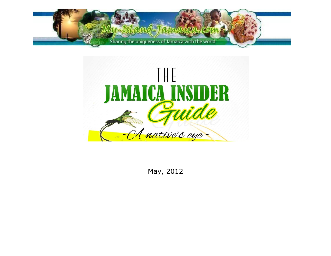



May, 2012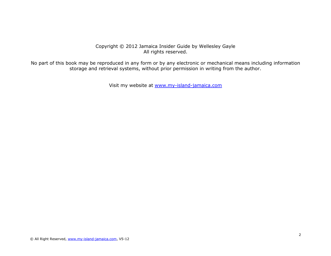### Copyright © 2012 Jamaica Insider Guide by Wellesley Gayle All rights reserved.

No part of this book may be reproduced in any form or by any electronic or mechanical means including information storage and retrieval systems, without prior permission in writing from the author.

Visit my website at [www.my-island-jamaica.com](http://www.my-island-jamaica.com/)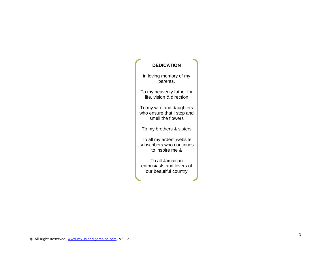# **DEDICATION**

in loving memory of my parents.

To my heavenly father for life, vision & direction

To my wife and daughters who ensure that I stop and smell the flowers

To my brothers & sisters

To all my ardent website subscribers who continues to inspire me &

To all Jamaican enthusiasts and lovers of our beautiful country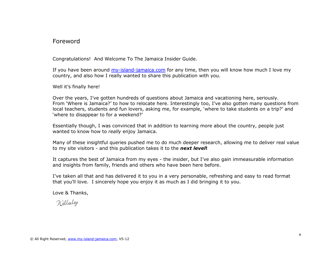# Foreword

Congratulations! And Welcome To The Jamaica Insider Guide.

If you have been around  $my-island-janaica.com$  for any time, then you will know how much I love my country, and also how I really wanted to share this publication with you.

Well it's finally here!

Over the years, I've gotten hundreds of questions about Jamaica and vacationing here, seriously. From 'Where is Jamaica?' to how to relocate here. Interestingly too, I've also gotten many questions from local teachers, students and fun lovers, asking me, for example, 'where to take students on a trip?' and 'where to disappear to for a weekend?'

Essentially though, I was convinced that in addition to learning more about the country, people just wanted to know how to *really* enjoy Jamaica.

Many of these insightful queries pushed me to do much deeper research, allowing me to deliver real value to my site visitors - and this publication takes it to the *next level***!**

It captures the best of Jamaica from my eyes - the insider, but I've also gain immeasurable information and insights from family, friends and others who have been here before.

I've taken all that and has delivered it to you in a very personable, refreshing and easy to read format that you'll love. I sincerely hope you enjoy it as much as I did bringing it to you.

Love & Thanks,

Wellesley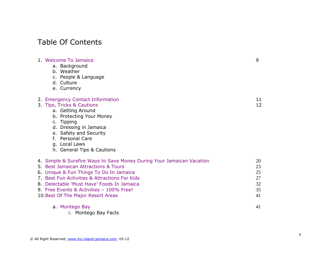# Table Of Contents

| 1. Welcome To Jamaica<br>a. Background<br>b. Weather<br>c. People & Language<br>d. Culture<br>e. Currency                                                                                                                                                                                                                                 | 9                                      |
|-------------------------------------------------------------------------------------------------------------------------------------------------------------------------------------------------------------------------------------------------------------------------------------------------------------------------------------------|----------------------------------------|
| 2. Emergency Contact Information<br>3. Tips, Tricks & Cautions<br>a. Getting Around<br>b. Protecting Your Money<br>c. Tipping<br>d. Dressing in Jamaica<br>e. Safety and Security<br>f. Personal Care<br>g. Local Laws<br>h. General Tips & Cautions                                                                                      | 11<br>12                               |
| 4. Simple & Surefire Ways to Save Money During Your Jamaican Vacation<br>5. Best Jamaican Attractions & Tours<br>6. Unique & Fun Things To Do In Jamaica<br>7. Best Fun Activities & Attractions For Kids<br>8. Delectable 'Must Have' Foods In Jamaica<br>9. Free Events & Activities - 100% Free!<br>10. Best Of The Major Resort Areas | 20<br>23<br>25<br>27<br>32<br>35<br>41 |
| a. Montego Bay<br>i. Montego Bay Facts                                                                                                                                                                                                                                                                                                    | 41                                     |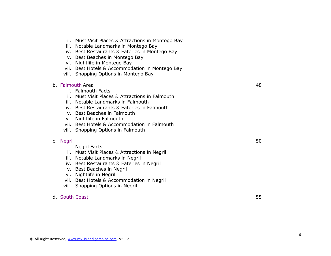- ii. Must Visit Places & Attractions in Montego Bay
- iii. Notable Landmarks in Montego Bay
- iv. Best Restaurants & Eateries in Montego Bay
- v. Best Beaches in Montego Bay
- vi. Nightlife in Montego Bay
- vii. Best Hotels & Accommodation in Montego Bay
- viii. Shopping Options in Montego Bay

#### b. [Falmouth](#page-47-0) Area 48

- i. Falmouth Facts
- ii. Must Visit Places & Attractions in Falmouth
- iii. Notable Landmarks in Falmouth
- iv. Best Restaurants & Eateries in Falmouth
- v. Best Beaches in Falmouth
- vi. Nightlife in Falmouth
- vii. Best Hotels & Accommodation in Falmouth
- viii. Shopping Options in Falmouth

#### c. [Negril](#page-49-0) 50 September 2014 and 2014 and 2014 and 2014 and 2014 and 2014 and 2014 and 2014 and 2014 and 2014 a

- i. Negril Facts
- ii. Must Visit Places & Attractions in Negril
- iii. Notable Landmarks in Negril
- iv. Best Restaurants & Eateries in Negril
- v. Best Beaches in Negril
- vi. Nightlife in Negril
- vii. Best Hotels & Accommodation in Negril
- viii. Shopping Options in Negril

### d. [South Coast](#page-54-0) 55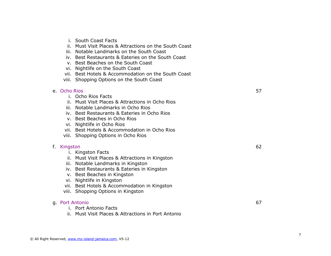- i. South Coast Facts
- ii. Must Visit Places & Attractions on the South Coast
- iii. Notable Landmarks on the South Coast
- iv. Best Restaurants & Eateries on the South Coast
- v. Best Beaches on the South Coast
- vi. Nightlife on the South Coast
- vii. Best Hotels & Accommodation on the South Coast
- viii. Shopping Options on the South Coast

#### e. [Ocho Rios](#page-57-0) 57

- i. Ocho Rios Facts
- ii. Must Visit Places & Attractions in Ocho Rios
- iii. Notable Landmarks in Ocho Rios
- iv. Best Restaurants & Eateries in Ocho Rios
- v. Best Beaches in Ocho Rios
- vi. Nightlife in Ocho Rios
- vii. Best Hotels & Accommodation in Ocho Rios
- viii. Shopping Options in Ocho Rios

#### f. [Kingston](#page-61-0) 62

- i. Kingston Facts
- ii. Must Visit Places & Attractions in Kingston
- iii. Notable Landmarks in Kingston
- iv. Best Restaurants & Eateries in Kingston
- v. Best Beaches in Kingston
- vi. Nightlife in Kingston
- vii. Best Hotels & Accommodation in Kingston
- viii. Shopping Options in Kingston

#### g. [Port Antonio](#page-66-0) 67

- i. Port Antonio Facts
- ii. Must Visit Places & Attractions in Port Antonio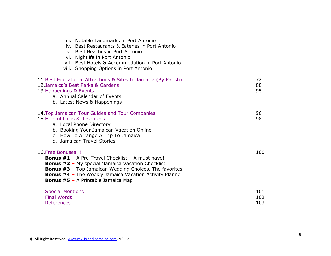|                                                                                                                              | iii. Notable Landmarks in Port Antonio<br>iv. Best Restaurants & Eateries in Port Antonio<br>v. Best Beaches in Port Antonio<br>vi. Nightlife in Port Antonio<br>vii. Best Hotels & Accommodation in Port Antonio<br>viii. Shopping Options in Port Antonio |                   |
|------------------------------------------------------------------------------------------------------------------------------|-------------------------------------------------------------------------------------------------------------------------------------------------------------------------------------------------------------------------------------------------------------|-------------------|
| 12. Jamaica's Best Parks & Gardens<br>13. Happenings & Events<br>a. Annual Calendar of Events<br>b. Latest News & Happenings | 11. Best Educational Attractions & Sites In Jamaica (By Parish)                                                                                                                                                                                             | 72<br>88<br>95    |
| 15. Helpful Links & Resources<br>a. Local Phone Directory<br>d. Jamaican Travel Stories                                      | 14. Top Jamaican Tour Guides and Tour Companies<br>b. Booking Your Jamaican Vacation Online<br>c. How To Arrange A Trip To Jamaica                                                                                                                          | 96<br>98          |
| 16. Free Bonuses!!!<br><b>Bonus #5 - A Printable Jamaica Map</b>                                                             | <b>Bonus #1 - A Pre-Travel Checklist - A must have!</b><br><b>Bonus #2 - My special 'Jamaica Vacation Checklist'</b><br><b>Bonus #3 - Top Jamaican Wedding Choices, The favorites!</b><br><b>Bonus #4 - The Weekly Jamaica Vacation Activity Planner</b>    | 100               |
| <b>Special Mentions</b><br><b>Final Words</b><br><b>References</b>                                                           |                                                                                                                                                                                                                                                             | 101<br>102<br>103 |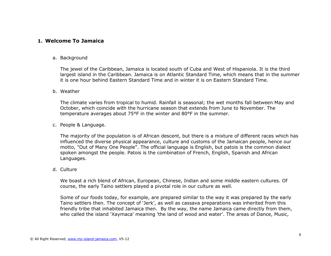### <span id="page-8-0"></span>**1. Welcome To Jamaica**

#### a. Background

The jewel of the Caribbean, Jamaica is located south of Cuba and West of Hispaniola. It is the third largest island in the Caribbean. Jamaica is on Atlantic Standard Time, which means that in the summer it is one hour behind Eastern Standard Time and in winter it is on Eastern Standard Time.

#### b. Weather

The climate varies from tropical to humid. Rainfall is seasonal; the wet months fall between May and October, which coincide with the hurricane season that extends from June to November. The temperature averages about 75°F in the winter and 80°F in the summer.

c. People & Language.

The majority of the population is of African descent, but there is a mixture of different races which has influenced the diverse physical appearance, culture and customs of the Jamaican people, hence our motto, "Out of Many One People". The official language is English, but patois is the common dialect spoken amongst the people. Patois is the combination of French, English, Spanish and African Languages.

d. Culture

We boast a rich blend of African, European, Chinese, Indian and some middle eastern cultures. Of course, the early Taino settlers played a pivotal role in our culture as well.

Some of our foods today, for example, are prepared similar to the way it was prepared by the early Taino settlers then. The concept of 'Jerk', as well as cassava preparations was inherited from this friendly tribe that inhabited Jamaica then. By the way, the name Jamaica came directly from them, who called the island 'Xaymaca' meaning 'the land of wood and water'. The areas of Dance, Music,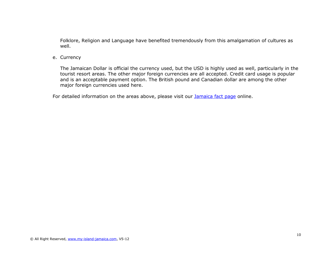Folklore, Religion and Language have benefited tremendously from this amalgamation of cultures as well.

e. Currency

The Jamaican Dollar is official the currency used, but the USD is highly used as well, particularly in the tourist resort areas. The other major foreign currencies are all accepted. Credit card usage is popular and is an acceptable payment option. The British pound and Canadian dollar are among the other major foreign currencies used here.

For detailed information on the areas above, please visit our **Jamaica fact page** online.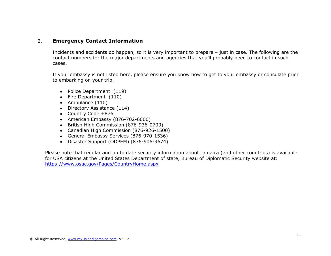# <span id="page-10-0"></span>2. **Emergency Contact Information**

Incidents and accidents do happen, so it is very important to prepare – just in case. The following are the contact numbers for the major departments and agencies that you'll probably need to contact in such cases.

If your embassy is not listed here, please ensure you know how to get to your embassy or consulate prior to embarking on your trip.

- Police Department (119)
- Fire Department (110)
- Ambulance (110)
- Directory Assistance (114)
- Country Code +876
- American Embassy (876-702-6000)
- British High Commission (876-936-0700)
- Canadian High Commission (876-926-1500)
- General Embassy Services (876-970-1536)
- Disaster Support (ODPEM) (876-906-9674)

Please note that regular and up to date security information about Jamaica (and other countries) is available for USA citizens at the United States Department of state, Bureau of Diplomatic Security website at: <https://www.osac.gov/Pages/CountryHome.aspx>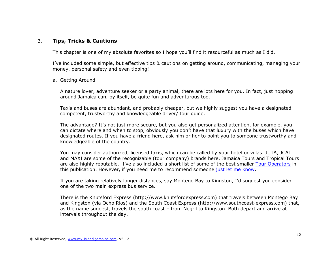# <span id="page-11-0"></span>3. **Tips, Tricks & Cautions**

This chapter is one of my absolute favorites so I hope you'll find it resourceful as much as I did.

I've included some simple, but effective tips & cautions on getting around, communicating, managing your money, personal safety and even tipping!

a. Getting Around

A nature lover, adventure seeker or a party animal, there are lots here for you. In fact, just hopping around Jamaica can, by itself, be quite fun and adventurous too.

Taxis and buses are abundant, and probably cheaper, but we highly suggest you have a designated competent, trustworthy and knowledgeable driver/ tour guide.

The advantage? It's not just more secure, but you also get personalized attention, for example, you can dictate where and when to stop, obviously you don't have that luxury with the buses which have designated routes. If you have a friend here, ask him or her to point you to someone trustworthy and knowledgeable of the country.

You may consider authorized, licensed taxis, which can be called by your hotel or villas. JUTA, JCAL and MAXI are some of the recognizable (tour company) brands here. Jamaica Tours and Tropical Tours are also highly reputable. I've also included a short list of some of the best smaller [Tour Operators](#page-95-0) in this publication. However, if you need me to recommend someone [just let me know.](mailto:wellesley@my-island-jamaica.com?subject=insider%20guide%20tour%20guide%20request)

If you are taking relatively longer distances, say Montego Bay to Kingston, I'd suggest you consider one of the two main express bus service.

There is the Knutsford Express (http://www.knutsfordexpress.com) that travels between Montego Bay and Kingston (via Ocho Rios) and the South Coast Express (http://www.southcoast-express.com) that, as the name suggest, travels the south coast – from Negril to Kingston. Both depart and arrive at intervals throughout the day.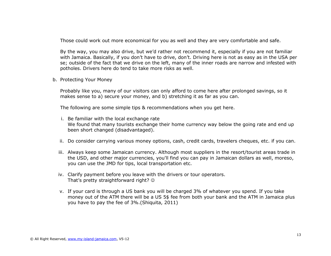Those could work out more economical for you as well and they are very comfortable and safe.

By the way, you may also drive, but we'd rather not recommend it, especially if you are not familiar with Jamaica. Basically, if you don't have to drive, don't. Driving here is not as easy as in the USA per se; outside of the fact that we drive on the left, many of the inner roads are narrow and infested with potholes. Drivers here do tend to take more risks as well.

b. Protecting Your Money

Probably like you, many of our visitors can only afford to come here after prolonged savings, so it makes sense to a) secure your money, and b) stretching it as far as you can.

The following are some simple tips & recommendations when you get here.

- i. Be familiar with the local exchange rate We found that many tourists exchange their home currency way below the going rate and end up been short changed (disadvantaged).
- ii. Do consider carrying various money options, cash, credit cards, travelers cheques, etc. if you can.
- iii. Always keep some Jamaican currency. Although most suppliers in the resort/tourist areas trade in the USD, and other major currencies, you'll find you can pay in Jamaican dollars as well, moreso, you can use the JMD for tips, local transportation etc.
- iv. Clarify payment before you leave with the drivers or tour operators. That's pretty straightforward right? ©
- v. If your card is through a US bank you will be charged 3% of whatever you spend. If you take money out of the ATM there will be a US 5\$ fee from both your bank and the ATM in Jamaica plus you have to pay the fee of 3%.(Shiquita, 2011)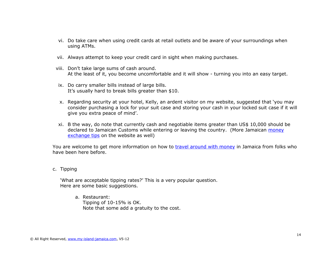- vi. Do take care when using credit cards at retail outlets and be aware of your surroundings when using ATMs.
- vii. Always attempt to keep your credit card in sight when making purchases.
- viii. Don't take large sums of cash around. At the least of it, you become uncomfortable and it will show - turning you into an easy target.
- ix. Do carry smaller bills instead of large bills. It's usually hard to break bills greater than \$10.
- x. Regarding security at your hotel, Kelly, an ardent visitor on my website, suggested that 'you may consider purchasing a lock for your suit case and storing your cash in your locked suit case if it will give you extra peace of mind'.
- xi. B the way, do note that currently cash and negotiable items greater than US\$ 10,000 should be declared to Jamaican Customs while entering or leaving the country. (More Jamaican money [exchange tips](http://bit.ly/jamoney) on the website as well)

You are welcome to get more information on how to [travel around with money](http://www.my-island-jamaica.com/travelling-around-with-money-in-jamaica.html) in Jamaica from folks who have been here before.

c. Tipping

'What are acceptable tipping rates?' This is a very popular question. Here are some basic suggestions.

a. Restaurant: Tipping of 10-15% is OK. Note that some add a gratuity to the cost.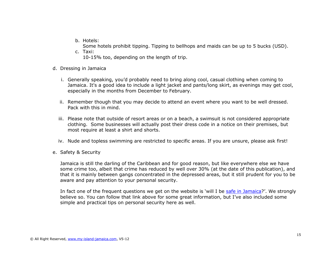b. Hotels:

Some hotels prohibit tipping. Tipping to bellhops and maids can be up to 5 bucks (USD).

- c. Taxi: 10-15% too, depending on the length of trip.
- d. Dressing in Jamaica
	- i. Generally speaking, you'd probably need to bring along cool, casual clothing when coming to Jamaica. It's a good idea to include a light jacket and pants/long skirt, as evenings may get cool, especially in the months from December to February.
	- ii. Remember though that you may decide to attend an event where you want to be well dressed. Pack with this in mind.
	- iii. Please note that outside of resort areas or on a beach, a swimsuit is not considered appropriate clothing. Some businesses will actually post their dress code in a notice on their premises, but most require at least a shirt and shorts.
	- iv. Nude and topless swimming are restricted to specific areas. If you are unsure, please ask first!
- e. Safety & Security

Jamaica is still the darling of the Caribbean and for good reason, but like everywhere else we have some crime too, albeit that crime has reduced by well over 30% (at the date of this publication), and that it is mainly between gangs concentrated in the depressed areas, but it still prudent for you to be aware and pay attention to your personal security.

In fact one of the frequent questions we get on the website is 'will I be [safe in Jamaica](http://www.my-island-jamaica.com/how-safe-is-jamaica.html)?'. We strongly believe so. You can follow that link above for some great information, but I've also included some simple and practical tips on personal security here as well.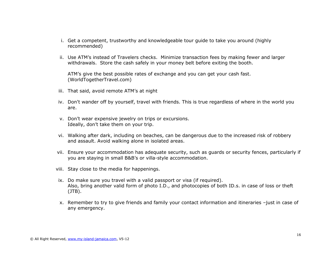- i. Get a competent, trustworthy and knowledgeable tour guide to take you around (highly recommended)
- ii. Use ATM's instead of Travelers checks. Minimize transaction fees by making fewer and larger withdrawals. Store the cash safely in your money belt before exiting the booth.

ATM's give the best possible rates of exchange and you can get your cash fast. (WorldTogetherTravel.com)

- iii. That said, avoid remote ATM's at night
- iv. Don't wander off by yourself, travel with friends. This is true regardless of where in the world you are.
- v. Don't wear expensive jewelry on trips or excursions. Ideally, don't take them on your trip.
- vi. Walking after dark, including on beaches, can be dangerous due to the increased risk of robbery and assault. Avoid walking alone in isolated areas.
- vii. Ensure your accommodation has adequate security, such as guards or security fences, particularly if you are staying in small B&B's or villa-style accommodation.
- viii. Stay close to the media for happenings.
- ix. Do make sure you travel with a valid passport or visa (if required). Also, bring another valid form of photo I.D., and photocopies of both ID.s. in case of loss or theft (JTB).
- x. Remember to try to give friends and family your contact information and itineraries –just in case of any emergency.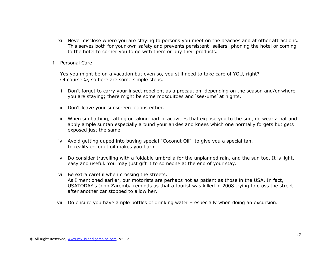- xi. Never disclose where you are staying to persons you meet on the beaches and at other attractions. This serves both for your own safety and prevents persistent "sellers" phoning the hotel or coming to the hotel to corner you to go with them or buy their products.
- f. Personal Care

Yes you might be on a vacation but even so, you still need to take care of YOU, right? Of course  $\odot$ , so here are some simple steps.

- i. Don't forget to carry your insect repellent as a precaution, depending on the season and/or where you are staying; there might be some mosquitoes and 'see-ums' at nights.
- ii. Don't leave your sunscreen lotions either.
- iii. When sunbathing, rafting or taking part in activities that expose you to the sun, do wear a hat and apply ample suntan especially around your ankles and knees which one normally forgets but gets exposed just the same.
- iv. Avoid getting duped into buying special "Coconut Oil" to give you a special tan. In reality coconut oil makes you burn.
- v. Do consider travelling with a foldable umbrella for the unplanned rain, and the sun too. It is light, easy and useful. You may just gift it to someone at the end of your stay.
- vi. Be extra careful when crossing the streets. As I mentioned earlier, our motorists are perhaps not as patient as those in the USA. In fact, USATODAY's John Zaremba reminds us that a tourist was killed in 2008 trying to cross the street after another car stopped to allow her.
- vii. Do ensure you have ample bottles of drinking water especially when doing an excursion.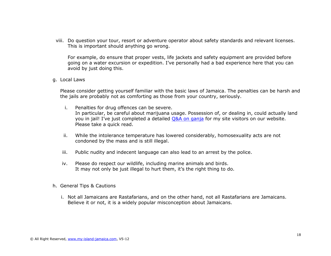viii. Do question your tour, resort or adventure operator about safety standards and relevant licenses. This is important should anything go wrong.

For example, do ensure that proper vests, life jackets and safety equipment are provided before going on a water excursion or expedition. I've personally had a bad experience here that you can avoid by just doing this.

g. Local Laws

Please consider getting yourself familiar with the basic laws of Jamaica. The penalties can be harsh and the jails are probably not as comforting as those from your country, seriously.

- i. Penalties for drug offences can be severe. In particular, be careful about marijuana usage. Possession of, or dealing in, could actually land you in jail! I've just completed a detailed [Q&A on ganja](http://www.my-island-jamaica.com/weed-in-jamaica-qa-about-buying-using-and-%20travelling-with-ganja-in-jamaica.html) for my site visitors on our website. Please take a quick read.
- ii. While the intolerance temperature has lowered considerably, homosexuality acts are not condoned by the mass and is still illegal.
- iii. Public nudity and indecent language can also lead to an arrest by the police.
- iv. Please do respect our wildlife, including marine animals and birds. It may not only be just illegal to hurt them, it's the right thing to do.
- h. General Tips & Cautions
	- i. Not all Jamaicans are Rastafarians, and on the other hand, not all Rastafarians are Jamaicans. Believe it or not, it is a widely popular misconception about Jamaicans.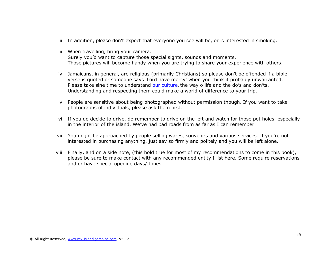- ii. In addition, please don't expect that everyone you see will be, or is interested in smoking.
- iii. When travelling, bring your camera. Surely you'd want to capture those special sights, sounds and moments. Those pictures will become handy when you are trying to share your experience with others.
- iv. Jamaicans, in general, are religious (primarily Christians) so please don't be offended if a bible verse is quoted or someone says 'Lord have mercy' when you think it probably unwarranted. Please take sine time to understand [our culture](http://www.my-island-jamaica.com/jamaica_culture.html), the way o life and the do's and don'ts. Understanding and respecting them could make a world of difference to your trip.
- v. People are sensitive about being photographed without permission though. If you want to take photographs of individuals, please ask them first.
- vi. If you do decide to drive, do remember to drive on the left and watch for those pot holes, especially in the interior of the island. We've had bad roads from as far as I can remember.
- vii. You might be approached by people selling wares, souvenirs and various services. If you're not interested in purchasing anything, just say so firmly and politely and you will be left alone.
- viii. Finally, and on a side note, (this hold true for most of my recommendations to come in this book), please be sure to make contact with any recommended entity I list here. Some require reservations and or have special opening days/ times.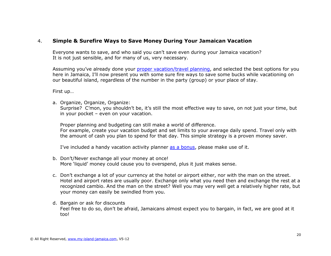# <span id="page-19-0"></span>4. **Simple & Surefire Ways to Save Money During Your Jamaican Vacation**

Everyone wants to save, and who said you can't save even during your Jamaica vacation? It is not just sensible, and for many of us, very necessary.

Assuming you've already done your [proper vacation/travel planning,](http://www.my-island-jamaica.com/vacation_in_jamaica.html) and selected the best options for you here in Jamaica, I'll now present you with some sure fire ways to save some bucks while vacationing on our beautiful island, regardless of the number in the party (group) or your place of stay.

First up…

a. Organize, Organize, Organize:

Surprise? C'mon, you shouldn't be, it's still the most effective way to save, on not just your time, but in your pocket – even on your vacation.

Proper planning and budgeting can still make a world of difference.

For example, create your vacation budget and set limits to your average daily spend. Travel only with the amount of cash you plan to spend for that day. This simple strategy is a proven money saver.

I've included a handy vacation activity planner [as a bonus,](#page-99-0) please make use of it.

- b. Don't/Never exchange all your money at once! More 'liquid' money could cause you to overspend, plus it just makes sense.
- c. Don't exchange a lot of your currency at the hotel or airport either, nor with the man on the street. Hotel and airport rates are usually poor. Exchange only what you need then and exchange the rest at a recognized cambio. And the man on the street? Well you may very well get a relatively higher rate, but your money can easily be swindled from you.
- d. Bargain or ask for discounts Feel free to do so, don't be afraid, Jamaicans almost expect you to bargain, in fact, we are good at it too!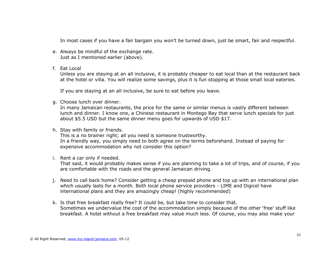In most cases if you have a fair bargain you won't be turned down, just be smart, fair and respectful.

- e. Always be mindful of the exchange rate. Just as I mentioned earlier (above).
- f. Eat Local

Unless you are staying at an all inclusive, it is probably cheaper to eat local than at the restaurant back at the hotel or villa. You will realize some savings, plus it is fun stopping at those small local eateries.

If you are staying at an all inclusive, be sure to eat before you leave.

g. Choose lunch over dinner.

In many Jamaican restaurants, the price for the same or similar menus is vastly different between lunch and dinner. I know one, a Chinese restaurant in Montego Bay that serve lunch specials for just about \$5.5 USD but the same dinner menu goes for upwards of USD \$17.

h. Stay with family or friends.

This is a no brainer right; all you need is someone trustworthy. In a friendly way, you simply need to both agree on the terms beforehand. Instead of paying for expensive accommodation why not consider this option?

i. Rent a car only if needed.

That said, it would probably makes sense if you are planning to take a lot of trips, and of course, if you are comfortable with the roads and the general Jamaican driving.

- j. Need to call back home? Consider getting a cheap prepaid phone and top up with an international plan which usually lasts for a month. Both local phone service providers - LIME and Digicel have international plans and they are amazingly cheap! (highly recommended)
- k. Is that free breakfast really free? It could be, but take time to consider that. Sometimes we undervalue the cost of the accommodation simply because of the other 'free' stuff like breakfast. A hotel without a free breakfast may value much less. Of course, you may also make your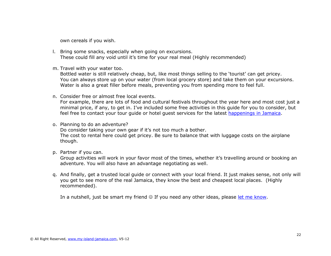own cereals if you wish.

- l. Bring some snacks, especially when going on excursions. These could fill any void until it's time for your real meal (Highly recommended)
- m. Travel with your water too.

Bottled water is still relatively cheap, but, like most things selling to the 'tourist' can get pricey. You can always store up on your water (from local grocery store) and take them on your excursions. Water is also a great filler before meals, preventing you from spending more to feel full.

n. Consider free or almost free local events.

For example, there are lots of food and cultural festivals throughout the year here and most cost just a minimal price, if any, to get in. I've included some free activities in this guide for you to consider, but feel free to contact your tour guide or hotel guest services for the latest [happenings in Jamaica.](http://www.my-island-jamaica.com/annual-events-in-jamaica-calendar-of-events.html)

o. Planning to do an adventure?

Do consider taking your own gear if it's not too much a bother. The cost to rental here could get pricey. Be sure to balance that with luggage costs on the airplane though.

p. Partner if you can.

Group activities will work in your favor most of the times, whether it's travelling around or booking an adventure. You will also have an advantage negotiating as well.

q. And finally, get a trusted local guide or connect with your local friend. It just makes sense, not only will you get to see more of the real Jamaica, they know the best and cheapest local places. (Highly recommended).

In a nutshell, just be smart my friend  $\odot$  If you need any other ideas, please [let me know.](http://www.my-island-jamaica.com/contact.html)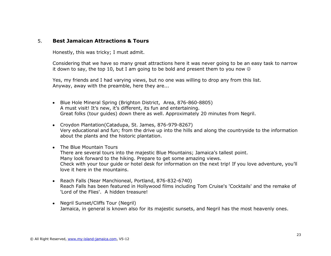### <span id="page-22-0"></span>5. **Best Jamaican Attractions & Tours**

Honestly, this was tricky; I must admit.

Considering that we have so many great attractions here it was never going to be an easy task to narrow it down to say, the top 10, but I am going to be bold and present them to you now  $\circledcirc$ 

Yes, my friends and I had varying views, but no one was willing to drop any from this list. Anyway, away with the preamble, here they are...

- Blue Hole Mineral Spring (Brighton District, Area, 876-860-8805) A must visit! It's new, it's different, its fun and entertaining. Great folks (tour guides) down there as well. Approximately 20 minutes from Negril.
- Croydon Plantation(Catadupa, St. James, 876-979-8267) Very educational and fun; from the drive up into the hills and along the countryside to the information about the plants and the historic plantation.
- The Blue Mountain Tours There are several tours into the majestic Blue Mountains; Jamaica's tallest point. Many look forward to the hiking. Prepare to get some amazing views. Check with your tour guide or hotel desk for information on the next trip! If you love adventure, you'll love it here in the mountains.
- Reach Falls (Near Manchioneal, Portland, 876-832-6740) Reach Falls has been featured in Hollywood films including Tom Cruise's 'Cocktails' and the remake of 'Lord of the Flies'. A hidden treasure!
- Negril Sunset/Cliffs Tour (Negril) Jamaica, in general is known also for its majestic sunsets, and Negril has the most heavenly ones.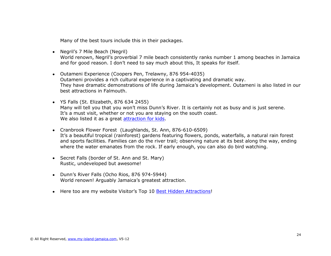Many of the best tours include this in their packages.

- Negril's 7 Mile Beach (Negril) World renown, Negril's proverbial 7 mile beach consistently ranks number 1 among beaches in Jamaica and for good reason. I don't need to say much about this, It speaks for itself.
- Outameni Experience (Coopers Pen, Trelawny, 876 954-4035) Outameni provides a rich cultural experience in a captivating and dramatic way. They have dramatic demonstrations of life during Jamaica's development. Outameni is also listed in our best attractions in Falmouth.
- YS Falls (St. Elizabeth, 876 634 2455) Many will tell you that you won't miss Dunn's River. It is certainly not as busy and is just serene. It's a must visit, whether or not you are staying on the south coast. We also listed it as a great [attraction for kids.](#page-26-0)
- Cranbrook Flower Forest (Laughlands, St. Ann, 876-610-6509) It's a beautiful tropical (rainforest) gardens featuring flowers, ponds, waterfalls, a natural rain forest and sports facilities. Families can do the river trail; observing nature at its best along the way, ending where the water emanates from the rock. If early enough, you can also do bird watching.
- Secret Falls (border of St. Ann and St. Mary) Rustic, undeveloped but awesome!
- Dunn's River Falls (Ocho Rios, 876 974-5944) World renown! Arguably Jamaica's greatest attraction.
- Here too are my website Visitor's Top 10 [Best Hidden Attractions!](http://www.my-island-jamaica.com/attraction_in_jamaica.html)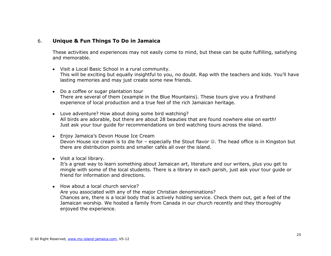# <span id="page-24-0"></span>6. **Unique & Fun Things To Do in Jamaica**

These activities and experiences may not easily come to mind, but these can be quite fulfilling, satisfying and memorable.

- Visit a Local Basic School in a rural community. This will be exciting but equally insightful to you, no doubt. Rap with the teachers and kids. You'll have lasting memories and may just create some new friends.
- Do a coffee or sugar plantation tour There are several of them (example in the Blue Mountains). These tours give you a firsthand experience of local production and a true feel of the rich Jamaican heritage.
- Love adventure? How about doing some bird watching? All birds are adorable, but there are about 28 beauties that are found nowhere else on earth! Just ask your tour guide for recommendations on bird watching tours across the island.
- Enjoy Jamaica's Devon House Ice Cream Devon House ice cream is to die for – especially the Stout flavor  $\odot$ . The head office is in Kingston but there are distribution points and smaller cafés all over the island.
- Visit a local library.

It's a great way to learn something about Jamaican art, literature and our writers, plus you get to mingle with some of the local students. There is a library in each parish, just ask your tour guide or friend for information and directions.

• How about a local church service? Are you associated with any of the major Christian denominations? Chances are, there is a local body that is actively holding service. Check them out, get a feel of the Jamaican worship. We hosted a family from Canada in our church recently and they thoroughly enjoyed the experience.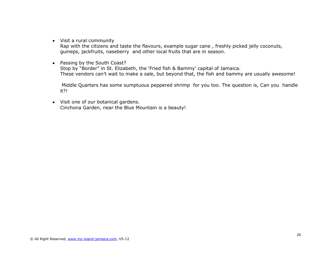Visit a rural community

Rap with the citizens and taste the flavours, example sugar cane , freshly picked jelly coconuts, guineps, jackfruits, naseberry and other local fruits that are in season.

• Passing by the South Coast? Stop by "Border" in St. Elizabeth, the 'Fried fish & Bammy' capital of Jamaica. These vendors can't wait to make a sale, but beyond that, the fish and bammy are usually awesome!

Middle Quarters has some sumptuous peppered shrimp for you too. The question is, Can you handle it?!

Visit one of our botanical gardens. Cinchona Garden, near the Blue Mountain is a beauty!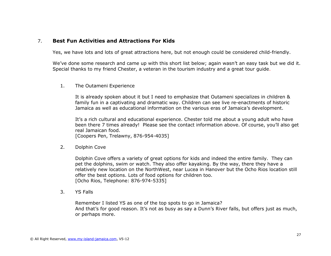# <span id="page-26-0"></span>7. **Best Fun Activities and Attractions For Kids**

Yes, we have lots and lots of great attractions here, but not enough could be considered child-friendly.

We've done some research and came up with this short list below; again wasn't an easy task but we did it. Special thanks to my friend Chester, a veteran in the tourism industry and a great tour guide.

1. The Outameni Experience

It is already spoken about it but I need to emphasize that Outameni specializes in children & family fun in a captivating and dramatic way. Children can see live re-enactments of historic Jamaica as well as educational information on the various eras of Jamaica's development.

It's a rich cultural and educational experience. Chester told me about a young adult who have been there 7 times already! Please see the contact information above. Of course, you'll also get real Jamaican food.

[Coopers Pen, Trelawny, 876-954-4035]

2. Dolphin Cove

Dolphin Cove offers a variety of great options for kids and indeed the entire family. They can pet the dolphins, swim or watch. They also offer kayaking. By the way, there they have a relatively new location on the NorthWest, near Lucea in Hanover but the Ocho Rios location still offer the best options. Lots of food options for children too. [Ocho Rios, Telephone: 876-974-5335]

3. YS Falls

Remember I listed YS as one of the top spots to go in Jamaica? And that's for good reason. It's not as busy as say a Dunn's River falls, but offers just as much, or perhaps more.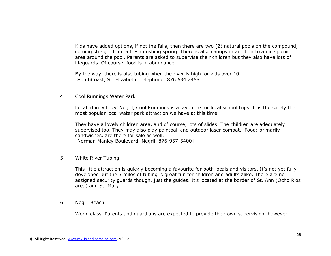Kids have added options, if not the falls, then there are two (2) natural pools on the compound, coming straight from a fresh gushing spring. There is also canopy in addition to a nice picnic area around the pool. Parents are asked to supervise their children but they also have lots of lifeguards. Of course, food is in abundance.

By the way, there is also tubing when the river is high for kids over 10. [SouthCoast, St. Elizabeth, Telephone: 876 634 2455]

4. Cool Runnings Water Park

Located in 'vibezy' Negril, Cool Runnings is a favourite for local school trips. It is the surely the most popular local water park attraction we have at this time.

They have a lovely children area, and of course, lots of slides. The children are adequately supervised too. They may also play paintball and outdoor laser combat. Food; primarily sandwiches, are there for sale as well. [Norman Manley Boulevard, Negril, 876-957-5400]

5. White River Tubing

This little attraction is quickly becoming a favourite for both locals and visitors. It's not yet fully developed but the 3 miles of tubing is great fun for children and adults alike. There are no assigned security guards though, just the guides. It's located at the border of St. Ann (Ocho Rios area) and St. Mary.

6. Negril Beach

World class. Parents and guardians are expected to provide their own supervision, however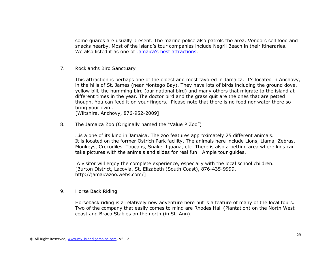some guards are usually present. The marine police also patrols the area. Vendors sell food and snacks nearby. Most of the island's tour companies include Negril Beach in their itineraries. We also listed it as one of [Jamaica's best attractions](#page-22-0).

7. Rockland's Bird Sanctuary

This attraction is perhaps one of the oldest and most favored in Jamaica. It's located in Anchovy, in the hills of St. James (near Montego Bay). They have lots of birds including the ground dove, yellow bill, the humming bird (our national bird) and many others that migrate to the island at different times in the year. The doctor bird and the grass quit are the ones that are petted though. You can feed it on your fingers. Please note that there is no food nor water there so bring your own..

[Wiltshire, Anchovy, 876-952-2009]

8. The Jamaica Zoo (Originally named the "Value P Zoo")

…is a one of its kind in Jamaica. The zoo features approximately 25 different animals. It is located on the former Ostrich Park facility. The animals here include Lions, Llama, Zebras, Monkeys, Crocodiles, Toucans, Snake, Iguana, etc. There is also a petting area where kids can take pictures with the animals and slides for real fun! Ample tour guides.

A visitor will enjoy the complete experience, especially with the local school children. [Burton District, Lacovia, St. Elizabeth (South Coast), 876-435-9999, http://jamaicazoo.webs.com/]

9. Horse Back Riding

Horseback riding is a relatively new adventure here but is a feature of many of the local tours. Two of the company that easily comes to mind are Rhodes Hall (Plantation) on the North West coast and Braco Stables on the north (in St. Ann).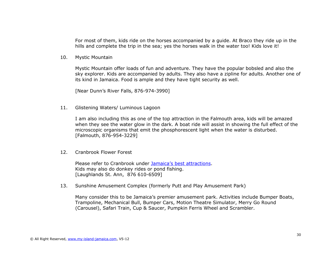For most of them, kids ride on the horses accompanied by a guide. At Braco they ride up in the hills and complete the trip in the sea; yes the horses walk in the water too! Kids love it!

10. Mystic Mountain

Mystic Mountain offer loads of fun and adventure. They have the popular bobsled and also the sky explorer. Kids are accompanied by adults. They also have a zipline for adults. Another one of its kind in Jamaica. Food is ample and they have tight security as well.

[Near Dunn's River Falls, 876-974-3990]

11. Glistening Waters/ Luminous Lagoon

I am also including this as one of the top attraction in the Falmouth area, kids will be amazed when they see the water glow in the dark. A boat ride will assist in showing the full effect of the microscopic organisms that emit the phosphorescent light when the water is disturbed. [Falmouth, 876-954-3229]

12. Cranbrook Flower Forest

Please refer to Cranbrook under [Jamaica's best attractions](#page-22-0). Kids may also do donkey rides or pond fishing. [Laughlands St. Ann, 876 610-6509]

13. Sunshine Amusement Complex (formerly Putt and Play Amusement Park)

Many consider this to be Jamaica's premier amusement park. Activities include Bumper Boats, Trampoline, Mechanical Bull, Bumper Cars, Motion Theatre Simulator, Merry Go Round (Carousel), Safari Train, Cup & Saucer, Pumpkin Ferris Wheel and Scrambler.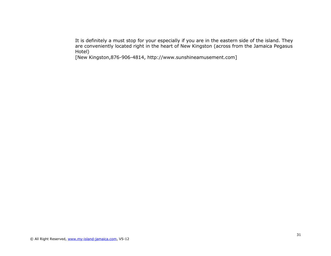It is definitely a must stop for your especially if you are in the eastern side of the island. They are conveniently located right in the heart of New Kingston (across from the Jamaica Pegasus Hotel)

[New Kingston,876-906-4814, http://www.sunshineamusement.com]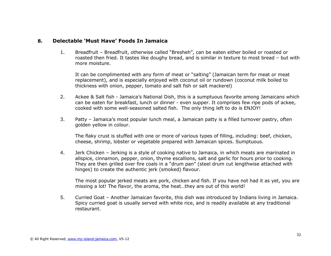### **8. Delectable 'Must Have' Foods In Jamaica**

<span id="page-31-0"></span>1. Breadfruit – Breadfruit, otherwise called "Bresheh", can be eaten either boiled or roasted or roasted then fried. It tastes like doughy bread, and is similar in texture to most bread – but with more moisture.

It can be complimented with any form of meat or "salting" (Jamaican term for meat or meat replacement), and is especially enjoyed with coconut oil or rundown (coconut milk boiled to thickness with onion, pepper, tomato and salt fish or salt mackerel)

- 2. Ackee & Salt fish Jamaica's National Dish, this is a sumptuous favorite among Jamaicans which can be eaten for breakfast, lunch or dinner - even supper. It comprises few ripe pods of ackee, cooked with some well-seasoned salted fish. The only thing left to do is ENJOY!
- 3. Patty Jamaica's most popular lunch meal, a Jamaican patty is a filled turnover pastry, often golden yellow in colour.

The flaky crust is stuffed with one or more of various types of filling, including: beef, chicken, cheese, shrimp, lobster or vegetable prepared with Jamaican spices. Sumptuous.

4. Jerk Chicken – Jerking is a style of cooking native to Jamaica, in which meats are marinated in allspice, cinnamon, pepper, onion, thyme escallions, salt and garlic for hours prior to cooking. They are then grilled over fire coals in a "drum pan" (steel drum cut lengthwise attached with hinges) to create the authentic jerk (smoked) flavour.

The most popular jerked meats are pork, chicken and fish. If you have not had it as yet, you are missing a lot! The flavor, the aroma, the heat…they are out of this world!

5. Curried Goat – Another Jamaican favorite, this dish was introduced by Indians living in Jamaica. Spicy curried goat is usually served with white rice, and is readily available at any traditional restaurant.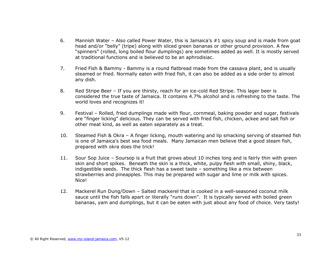- 6. Mannish Water Also called Power Water, this is Jamaica's  $#1$  spicy soup and is made from goat head and/or "belly" (tripe) along with sliced green bananas or other ground provision. A few "spinners" (rolled, long boiled flour dumplings) are sometimes added as well. It is mostly served at traditional functions and is believed to be an aphrodisiac.
- 7. Fried Fish & Bammy Bammy is a round flatbread made from the cassava plant, and is usually steamed or fried. Normally eaten with fried fish, it can also be added as a side order to almost any dish.
- 8. Red Stripe Beer If you are thirsty, reach for an ice-cold Red Stripe. This lager beer is considered the true taste of Jamaica. It contains 4.7% alcohol and is refreshing to the taste. The world loves and recognizes it!
- 9. Festival Rolled, fried dumplings made with flour, cornmeal, baking powder and sugar, festivals are "finger licking" delicious. They can be served with fried fish, chicken, ackee and salt fish or other meat kind, as well as eaten separately as a treat.
- 10. Steamed Fish & Okra A finger licking, mouth watering and lip smacking serving of steamed fish is one of Jamaica's best sea food meals. Many Jamaican men believe that a good steam fish, prepared with okra does the trick!
- 11. Sour Sop Juice Soursop is a fruit that grows about 10 inches long and is fairly thin with green skin and short spikes. Beneath the skin is a thick, white, pulpy flesh with small, shiny, black, indigestible seeds. The thick flesh has a sweet taste – something like a mix between strawberries and pineapples. This may be prepared with sugar and lime or milk with spices. Nice!
- 12. Mackerel Run Dung/Down Salted mackerel that is cooked in a well-seasoned coconut milk sauce until the fish falls apart or literally "runs down". It is typically served with boiled green bananas, yam and dumplings, but it can be eaten with just about any food of choice. Very tasty!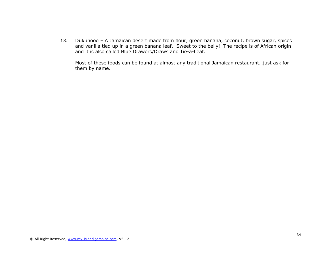13. Dukunooo – A Jamaican desert made from flour, green banana, coconut, brown sugar, spices and vanilla tied up in a green banana leaf. Sweet to the belly! The recipe is of African origin and it is also called Blue Drawers/Draws and Tie-a-Leaf.

Most of these foods can be found at almost any traditional Jamaican restaurant…just ask for them by name.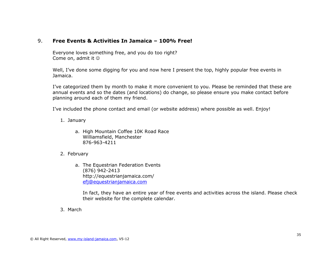# <span id="page-34-0"></span>9. **Free Events & Activities In Jamaica – 100% Free!**

Everyone loves something free, and you do too right? Come on, admit it

Well, I've done some digging for you and now here I present the top, highly popular free events in Jamaica.

I've categorized them by month to make it more convenient to you. Please be reminded that these are annual events and so the dates (and locations) do change, so please ensure you make contact before planning around each of them my friend.

I've included the phone contact and email (or website address) where possible as well. Enjoy!

- 1. January
	- a. High Mountain Coffee 10K Road Race Williamsfield, Manchester 876-963-4211
- 2. February
	- a. The Equestrian Federation Events (876) 942-2413 http://equestrianjamaica.com/ [efj@equestrianjamaica.com](mailto:efj@equestrianjamaica.com)

In fact, they have an entire year of free events and activities across the island. Please check their website for the complete calendar.

3. March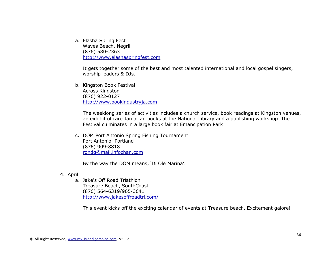a. Elasha Spring Fest Waves Beach, Negril (876) 580-2363 [http://www.elashaspringfest.com](http://www.elashaspringfest.com/)

It gets together some of the best and most talented international and local gospel singers, worship leaders & DJs.

b. Kingston Book Festival Across Kingston (876) 922-0127 [http://www.bookindustryja.com](http://www.bookindustryja.com/)

The weeklong series of activities includes a church service, book readings at Kingston venues, an exhibit of rare Jamaican books at the National Library and a publishing workshop. The Festival culminates in a large book fair at Emancipation Park

c. DOM Port Antonio Spring Fishing Tournament Port Antonio, Portland (876) 909-8818 [rondq@mail.infochan.com](mailto:rondq@mail.infochan.com)

By the way the DOM means, 'Di Ole Marina'.

4. April

a. Jake's Off Road Triathlon Treasure Beach, SouthCoast (876) 564-6319/965-3641 <http://www.jakesoffroadtri.com/>

This event kicks off the exciting calendar of events at Treasure beach. Excitement galore!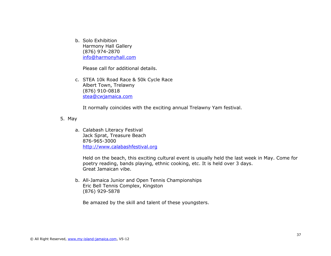b. Solo Exhibition Harmony Hall Gallery (876) 974-2870 [info@harmonyhall.com](mailto:info@harmonyhall.com)

Please call for additional details.

c. STEA 10k Road Race & 50k Cycle Race Albert Town, Trelawny (876) 910-0818 [stea@cwjamaica.com](mailto:stea@cwjamaica.com)

It normally coincides with the exciting annual Trelawny Yam festival.

5. May

a. Calabash Literacy Festival Jack Sprat, Treasure Beach 876-965-3000 [http://www.calabashfestival.org](http://www.calabashfestival.org/)

Held on the beach, this exciting cultural event is usually held the last week in May. Come for poetry reading, bands playing, ethnic cooking, etc. It is held over 3 days. Great Jamaican vibe.

b. All-Jamaica Junior and Open Tennis Championships Eric Bell Tennis Complex, Kingston (876) 929-5878

Be amazed by the skill and talent of these youngsters.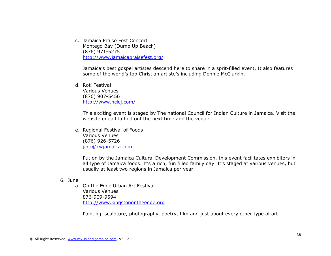c. Jamaica Praise Fest Concert Montego Bay (Dump Up Beach) (876) 971-5275 <http://www.jamaicapraisefest.org/>

Jamaica's best gospel artistes descend here to share in a sprit-filled event. It also features some of the world's top Christian artiste's including Donnie McClurkin.

d. Roti Festival Various Venues (876) 907-5456 <http://www.ncicj.com/>

> This exciting event is staged by The national Council for Indian Culture in Jamaica. Visit the website or call to find out the next time and the venue.

e. Regional Festival of Foods Various Venues (876) 926-5726 [jcdc@cwjamaica.com](mailto:jcdc@cwjamaica.com)

> Put on by the Jamaica Cultural Development Commission, this event facilitates exhibitors in all type of Jamaica foods. It's a rich, fun filled family day. It's staged at various venues, but usually at least two regions in Jamaica per year.

### 6. June

a. On the Edge Urban Art Festival Various Venues 876-909-9594 [http://www.kingstonontheedge.org](http://www.kingstonontheedge.org/)

Painting, sculpture, photography, poetry, film and just about every other type of art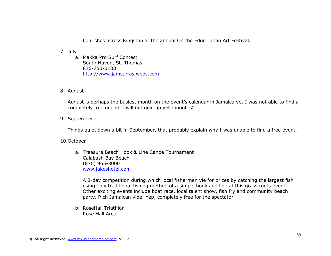flourishes across Kingston at the annual On the Edge Urban Art Festival.

- 7. July
	- a. Makka Pro Surf Contest South Haven, St. Thomas 876-750-0103 [http://www.jamsurfas.webs.com](http://www.jamsurfas.webs.com/)
- 8. August

August is perhaps the busiest month on the event's calendar in Jamaica yet I was not able to find a completely free one  $\odot$ . I will not give up yet though  $\odot$ 

9. September

Things quiet down a bit in September, that probably explain why I was unable to find a free event.

10.October

a. Treasure Beach Hook & Line Canoe Tournament Calabash Bay Beach (876) 965-3000 [www.jakeshotel.com](http://www.jakeshotel.com/)

A 3-day competition during which local fishermen vie for prizes by catching the largest fish using only traditional fishing method of a simple hook and line at this grass roots event. Other exciting events include boat race, local talent show, fish fry and community beach party. Rich Jamaican vibe! Yep, completely free for the spectator.

b. RoseHall Triathlon Rose Hall Area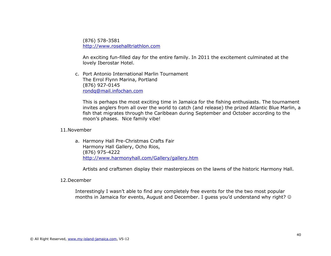(876) 578-3581 [http://www.rosehalltriathlon.com](http://www.rosehalltriathlon.com/)

An exciting fun-filled day for the entire family. In 2011 the excitement culminated at the lovely Iberostar Hotel.

c. Port Antonio International Marlin Tournament The Errol Flynn Marina, Portland (876) 927-0145 [rondq@mail.infochan.com](mailto:rondq@mail.infochan.com)

This is perhaps the most exciting time in Jamaica for the fishing enthusiasts. The tournament invites anglers from all over the world to catch (and release) the prized Atlantic Blue Marlin, a fish that migrates through the Caribbean during September and October according to the moon's phases. Nice family vibe!

#### 11.November

a. Harmony Hall Pre-Christmas Crafts Fair Harmony Hall Gallery, Ocho Rios, (876) 975-4222 <http://www.harmonyhall.com/Gallery/gallery.htm>

Artists and craftsmen display their masterpieces on the lawns of the historic Harmony Hall.

#### 12.December

Interestingly I wasn't able to find any completely free events for the the two most popular months in Jamaica for events, August and December. I guess you'd understand why right?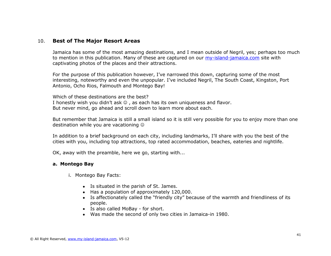# 10. **Best of The Major Resort Areas**

Jamaica has some of the most amazing destinations, and I mean outside of Negril, yes; perhaps too much to mention in this publication. Many of these are captured on our [my-island-jamaica.com](http://www.my-island-jamaica.com/) site with captivating photos of the places and their attractions.

For the purpose of this publication however, I've narrowed this down, capturing some of the most interesting, noteworthy and even the unpopular. I've included Negril, The South Coast, Kingston, Port Antonio, Ocho Rios, Falmouth and Montego Bay!

Which of these destinations are the best? I honestly wish you didn't ask  $\odot$  , as each has its own uniqueness and flavor. But never mind, go ahead and scroll down to learn more about each.

But remember that Jamaica is still a small island so it is still very possible for you to enjoy more than one destination while you are vacationing

In addition to a brief background on each city, including landmarks, I'll share with you the best of the cities with you, including top attractions, top rated accommodation, beaches, eateries and nightlife.

OK, away with the preamble, here we go, starting with...

### **a. Montego Bay**

i. Montego Bay Facts:

- Is situated in the parish of St. James.
- Has a population of approximately 120,000.
- Is affectionately called the "friendly city" because of the warmth and friendliness of its people.
- Is also called MoBay for short.
- Was made the second of only two cities in Jamaica-in 1980.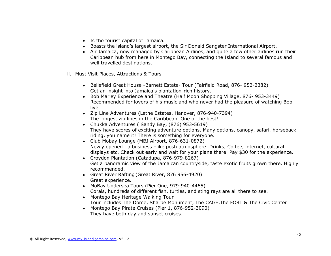- Is the tourist capital of Jamaica.
- Boasts the island's largest airport, the Sir Donald Sangster International Airport.
- Air Jamaica, now managed by Caribbean Airlines, and quite a few other airlines run their Caribbean hub from here in Montego Bay, connecting the Island to several famous and well travelled destinations.
- ii. Must Visit Places, Attractions & Tours
	- Bellefield Great House -Barnett Estate- Tour (Fairfield Road, 876- 952-2382) Get an insight into Jamaica's plantation-rich history.
	- Bob Marley Experience and Theatre (Half Moon Shopping Village, 876-953-3449) Recommended for lovers of his music and who never had the pleasure of watching Bob live.
	- Zip Line Adventures (Lethe Estates, Hanover, 876-940-7394) The longest zip lines in the Caribbean. One of the best!
	- Chukka Adventures ( Sandy Bay, (876) 953-5619) They have scores of exciting adventure options. Many options, canopy, safari, horseback riding, you name it! There is something for everyone.
	- Club Mobay Lounge (MBJ Airport, 876-631-0872) Newly opened , a business –like posh atmosphere. Drinks, Coffee, internet, cultural displays etc. Check out early and wait for your plane there. Pay \$30 for the experience.
	- Croydon Plantation (Catadupa, 876-979-8267) Get a panoramic view of the Jamaican countryside, taste exotic fruits grown there. Highly recommended.
	- Great River Rafting (Great River, 876 956-4920) Great experience.
	- MoBay Undersea Tours (Pier One, 979-940-4465) Corals, hundreds of different fish, turtles, and sting rays are all there to see.
	- Montego Bay Heritage Walking Tour Tour includes The Dome, Sharpe Monument, The CAGE,The FORT & The Civic Center
	- Montego Bay Pirate Cruises (Pier 1, 876-952-3090) They have both day and sunset cruises.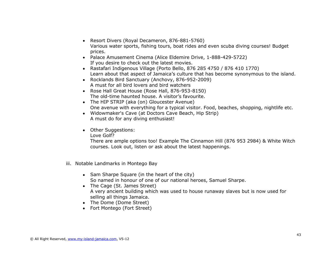- Resort Divers (Royal Decameron, 876-881-5760) Various water sports, fishing tours, boat rides and even scuba diving courses! Budget prices.
- Palace Amusement Cinema (Alice Eldemire Drive, 1-888-429-5722) If you desire to check out the latest movies.
- Rastafari Indigenous Village (Porto Bello, 876 285 4750 / 876 410 1770) Learn about that aspect of Jamaica's culture that has become synonymous to the island.
- Rocklands Bird Sanctuary (Anchovy, 876-952-2009) A must for all bird lovers and bird watchers
- Rose Hall Great House (Rose Hall, 876-953-8150) The old-time haunted house. A visitor's favourite.
- The HIP STRIP (aka (on) Gloucester Avenue) One avenue with everything for a typical visitor. Food, beaches, shopping, nightlife etc.
- Widowmaker's Cave (at Doctors Cave Beach, Hip Strip) A must do for any diving enthusiast!
- Other Suggestions:

Love Golf?

There are ample options too! Example The Cinnamon Hill (876 953 2984) & White Witch courses. Look out, listen or ask about the latest happenings.

- iii. Notable Landmarks in Montego Bay
	- Sam Sharpe Square (in the heart of the city) So named in honour of one of our national heroes, Samuel Sharpe.
	- The Cage (St. James Street) A very ancient building which was used to house runaway slaves but is now used for selling all things Jamaica.
	- The Dome (Dome Street)
	- Fort Montego (Fort Street)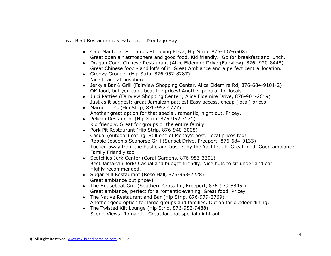- iv. Best Restaurants & Eateries in Montego Bay
	- Cafe Manteca (St. James Shopping Plaza, Hip Strip, 876-407-6508) Great open air atmosphere and good food. Kid friendly. Go for breakfast and lunch.
	- Dragon Court Chinese Restaurant (Alice Eldemire Drive (Fairview), 876- 920-8448) Great Chinese food - and lot's of it! Great Ambiance and a perfect central location.
	- Groovy Grouper (Hip Strip, 876-952-8287) Nice beach atmosphere.
	- Jerky's Bar & Grill (Fairview Shopping Center, Alice Eldemire Rd, 876-684-9101-2) OK food, but you can't beat the prices! Another popular for locals.
	- Juici Patties (Fairview Shopping Center , Alice Eldemire Drive, 876-904-2619) Just as it suggest; great Jamaican patties! Easy access, cheap (local) prices!
	- Marguerite's (Hip Strip, 876-952 4777) Another great option for that special, romantic, night out. Pricey.
	- Pelican Restaurant (Hip Strip, 876-952 3171) Kid friendly. Great for groups or the entire family.
	- Pork Pit Restaurant (Hip Strip, 876-940-3008) Casual (outdoor) eating. Still one of Mobay's best. Local prices too!
	- Robbie Joseph's Seahorse Grill (Sunset Drive, Freeport, 876-684-9133) Tucked away from the hustle and bustle, by the Yacht Club. Great food. Good ambiance. Family Friendly too!
	- Scotchies Jerk Center (Coral Gardens, 876-953-3301) Best Jamaican Jerk! Casual and budget friendly. Nice huts to sit under and eat! Highly recommended.
	- Sugar Mill Restaurant (Rose Hall, 876-953-2228) Great ambiance but pricey!
	- The Houseboat Grill (Southern Cross Rd, Freeport, 876-979-8845,) Great ambiance, perfect for a romantic evening. Great food. Pricey.
	- The Native Restaurant and Bar (Hip Strip, 876-979-2769) Another good option for large groups and families. Option for outdoor dining.
	- The Twisted Kilt Lounge (Hip Strip, 876-952-9488) Scenic Views. Romantic. Great for that special night out.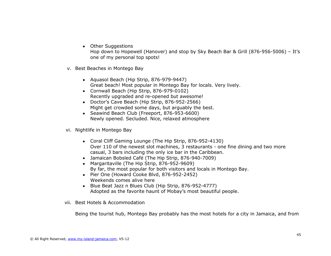• Other Suggestions

Hop down to Hopewell (Hanover) and stop by Sky Beach Bar & Grill (876-956-5006) – It's one of my personal top spots!

- v. Best Beaches in Montego Bay
	- Aquasol Beach (Hip Strip, 876-979-9447) Great beach! Most popular in Montego Bay for locals. Very lively.
	- Cornwall Beach (Hip Strip, 876-979-0102) Recently upgraded and re-opened but awesome!
	- Doctor's Cave Beach (Hip Strip, 876-952-2566) Might get crowded some days, but arguably the best.
	- Seawind Beach Club (Freeport, 876-953-6600) Newly opened. Secluded. Nice, relaxed atmosphere
- vi. Nightlife in Montego Bay
	- Coral Cliff Gaming Lounge (The Hip Strip, 876-952-4130) Over 110 of the newest slot machines, 3 restaurants - one fine dining and two more casual, 3 bars including the only ice bar in the Caribbean.
	- Jamaican Bobsled Café (The Hip Strip, 876-940-7009)
	- Margaritaville (The Hip Strip, 876-952-9609) By far, the most popular for both visitors and locals in Montego Bay.
	- Pier One (Howard Cooke Blvd, 876-952-2452) Weekends comes alive here
	- Blue Beat Jazz n Blues Club (Hip Strip, 876-952-4777) Adopted as the favorite haunt of Mobay's most beautiful people.
- vii. Best Hotels & Accommodation

Being the tourist hub, Montego Bay probably has the most hotels for a city in Jamaica, and from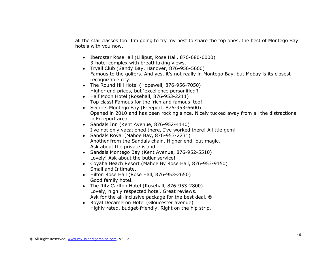all the star classes too! I'm going to try my best to share the top ones, the best of Montego Bay hotels with you now.

- Iberostar RoseHall (Lilliput, Rose Hall, 876-680-0000) 3-hotel complex with breathtaking views.
- Tryall Club (Sandy Bay, Hanover, 876-956-5660) Famous to the golfers. And yes, it's not really in Montego Bay, but Mobay is its closest recognizable city.
- The Round Hill Hotel (Hopewell, 876-956-7050) Higher end prices, but 'excellence personified'!
- Half Moon Hotel (Rosehall, 876-953-2211) Top class! Famous for the 'rich and famous' too!
- Secrets Montego Bay (Freeport, 876-953-6600) Opened in 2010 and has been rocking since. Nicely tucked away from all the distractions in Freeport area.
- Sandals Inn (Kent Avenue, 876-952-4140) I've not only vacationed there, I've worked there! A little gem!
- Sandals Royal (Mahoe Bay, 876-953-2231) Another from the Sandals chain. Higher end, but magic. Ask about the private island.
- Sandals Montego Bay (Kent Avenue, 876-952-5510) Lovely! Ask about the butler service!
- Coyaba Beach Resort (Mahoe By Rose Hall, 876-953-9150) Small and Intimate.
- Hilton Rose Hall (Rose Hall, 876-953-2650) Good family hotel.
- The Ritz Carlton Hotel (Rosehall, 876-953-2800) Lovely, highly respected hotel. Great reviews. Ask for the all-inclusive package for the best deal.  $\odot$
- Royal Decameron Hotel (Gloucester avenue) Highly rated, budget-friendly. Right on the hip strip.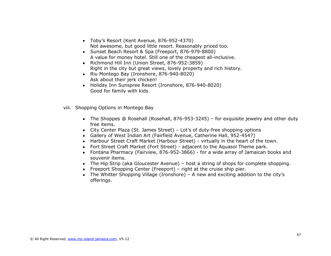- Toby's Resort (Kent Avenue, 876-952-4370) Not awesome, but good little resort. Reasonably priced too.
- Sunset Beach Resort & Spa (Freeport, 876-979-8800) A value for money hotel. Still one of the cheapest all-inclusive.
- Richmond Hill Inn (Union Street, 876-952-3859) Right in the city but great views, lovely property and rich history.
- Riu Montego Bay (Ironshore, 876-940-8020) Ask about their jerk chicken!
- Holiday Inn Sunspree Resort (Ironshore, 876-940-8020) Good for family with kids.
- viii. Shopping Options in Montego Bay
	- The Shoppes @ Rosehall (Rosehall, 876-953-3245) for exquisite jewelry and other duty free items.
	- City Center Plaza (St. James Street) Lot's of duty-free shopping options
	- Gallery of West Indian Art (Fairfield Avenue, Catherine Hall, 952-4547)
	- Harbour Street Craft Market (Harbour Street) virtually in the heart of the town.
	- Fort Street Craft Market (Fort Street) adjacent to the Aquasol Theme park.
	- Fontana Pharmacy (Fairview, 876-952-3866) for a wide array of Jamaican books and souvenir items.
	- The Hip Strip (aka Gloucester Avenue) host a string of shops for complete shopping.
	- Freeport Shopping Center (Freeport) right at the cruise ship pier.
	- The Whitter Shopping Village (Ironshore) A new and exciting addition to the city's offerings.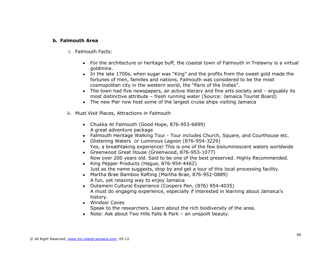### **b. Falmouth Area**

- i. Falmouth Facts:
	- For the architecture or heritage buff, the coastal town of Falmouth in Trelawny is a virtual goldmine.
	- In the late 1700s, when sugar was "King" and the profits from the sweet gold made the fortunes of men, families and nations, Falmouth was considered to be the most cosmopolitan city in the western world, the "Paris of the Indies".
	- The town had five newspapers, an active literary and fine arts society and arguably its most distinctive attribute – fresh running water (Source: Jamaica Tourist Board)
	- The new Pier now host some of the largest cruise ships visiting Jamaica
- ii. Must Visit Places, Attractions in Falmouth
	- Chukka At Falmouth (Good Hope, 876-953-6699) A great adventure package
	- Falmouth Heritage Walking Tour Tour includes Church, Square, and Courthouse etc.
	- Glistening Waters or Luminous Lagoon (876-954-3229) Yes, a breathtaking experience! This is one of the few bioluminescent waters worldwide
	- Greenwood Great House (Greenwood, 876-953-1077) Now over 200 years old. Said to be one of the best preserved. Highly Recommended.
	- King Pepper Products (Hague, 876-954-4462) Just as the name suggests, stop by and get a tour of this local processing facility.
	- Martha Brae Bamboo Rafting (Martha Brae, 876-952-0889) A fun, yet relaxing way to enjoy Jamaica
	- Outameni Cultural Experience (Coopers Pen, (876) 954-4035) A must do engaging experience, especially if interested in learning about Jamaica's history.
	- Windsor Caves Speak to the researchers. Learn about the rich biodiversity of the area.
	- Note: Ask about Two Hills Falls & Park an unspoilt beauty.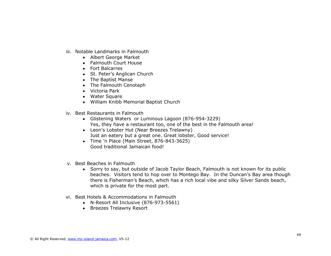- iii. Notable Landmarks in Falmouth
	- Albert George Market
	- Falmouth Court House
	- Fort Balcarres
	- St. Peter's Anglican Church
	- The Baptist Manse
	- The Falmouth Cenotaph
	- Victoria Park
	- Water Square
	- William Knibb Memorial Baptist Church
- iv. Best Restaurants in Falmouth
	- Glistening Waters or Luminous Lagoon (876-954-3229) Yes, they have a restaurant too, one of the best in the Falmouth area!
	- Leon's Lobster Hut (Near Breezes Trelawny) Just an eatery but a great one. Great lobster, Good service!
	- Time 'n Place (Main Street, 876-843-3625) Good traditional Jamaican food!
- v. Best Beaches in Falmouth
	- Sorry to say, but outside of Jacob Taylor Beach, Falmouth is not known for its public beaches. Visitors tend to hop over to Montego Bay. In the Duncan's Bay area though there is Fisherman's Beach, which has a rich local vibe and silky Silver Sands beach, which is private for the most part.
- vi. Best Hotels & Accommodations in Falmouth
	- N-Resort All Inclusive (876-973-5561)
	- Breezes Trelawny Resort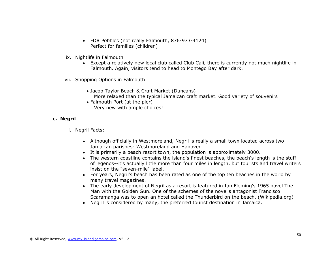- FDR Pebbles (not really Falmouth, 876-973-4124) Perfect for families (children)
- ix. Nightlife in Falmouth
	- Except a relatively new local club called Club Cali, there is currently not much nightlife in Falmouth. Again, visitors tend to head to Montego Bay after dark.
- vii. Shopping Options in Falmouth
	- Jacob Taylor Beach & Craft Market (Duncans) More relaxed than the typical Jamaican craft market. Good variety of souvenirs
	- Falmouth Port (at the pier) Very new with ample choices!

### **c. Negril**

- i. Negril Facts:
	- Although officially in Westmoreland, Negril is really a small town located across two Jamaican parishes- Westmoreland and Hanover..
	- It is primarily a beach resort town, the population is approximately 3000.
	- The western coastline contains the island's finest beaches, the beach's length is the stuff of legends--it's actually little more than four miles in length, but tourists and travel writers insist on the "seven-mile" label.
	- For years, Negril's beach has been rated as one of the top ten beaches in the world by many travel magazines.
	- The early development of Negril as a resort is featured in Ian Fleming's 1965 novel The Man with the Golden Gun. One of the schemes of the novel's antagonist Francisco Scaramanga was to open an hotel called the Thunderbird on the beach. (Wikipedia.org)
	- Negril is considered by many, the preferred tourist destination in Jamaica.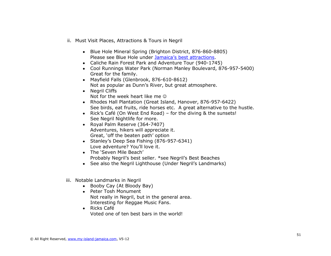- ii. Must Visit Places, Attractions & Tours in Negril
	- Blue Hole Mineral Spring (Brighton District, 876-860-8805) Please see Blue Hole under [Jamaica's best attractions](#page-22-0).
	- Caliche Rain Forest Park and Adventure Tour (940-1745)
	- Cool Runnings Water Park (Norman Manley Boulevard, 876-957-5400) Great for the family.
	- Mayfield Falls (Glenbrook, 876-610-8612) Not as popular as Dunn's River, but great atmosphere.
	- Nearil Cliffs Not for the week heart like me  $\odot$
	- Rhodes Hall Plantation (Great Island, Hanover, 876-957-6422) See birds, eat fruits, ride horses etc. A great alternative to the hustle.
	- Rick's Café (On West End Road) for the diving & the sunsets! See Negril Nightlife for more.
	- Royal Palm Reserve (364-7407) Adventures, hikers will appreciate it. Great, 'off the beaten path' option
	- Stanley's Deep Sea Fishing (876-957-6341) Love adventure? You'll love it.
	- The 'Seven Mile Beach' Probably Negril's best seller. \*see Negril's Best Beaches
	- See also the Negril Lighthouse (Under Negril's Landmarks)
- iii. Notable Landmarks in Negril
	- Booby Cay (At Bloody Bay)
	- Peter Tosh Monument Not really in Negril, but in the general area. Interesting for Reggae Music Fans.
	- Ricks Café Voted one of ten best bars in the world!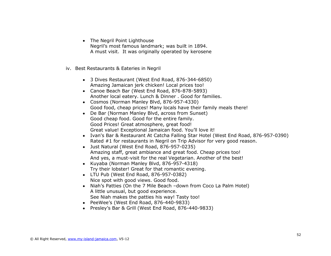- The Negril Point Lighthouse Negril's most famous landmark; was built in 1894. A must visit. It was originally operated by kerosene
- iv. Best Restaurants & Eateries in Negril
	- 3 Dives Restaurant (West End Road, 876-344-6850) Amazing Jamaican jerk chicken! Local prices too!
	- Canoe Beach Bar (West End Road, 876-878-5893) Another local eatery. Lunch & Dinner . Good for families.
	- Cosmos (Norman Manley Blvd, 876-957-4330) Good food, cheap prices! Many locals have their family meals there!
	- De Bar (Norman Manley Blvd, across from Sunset) Good cheap food. Good for the entire family. Good Prices! Great atmosphere, great food! Great value! Exceptional Jamaican food. You'll love it!
	- Ivan's Bar & Restaurant At Catcha Falling Star Hotel (West End Road, 876-957-0390) Rated #1 for restaurants in Negril on Trip Advisor for very good reason.
	- Just Natural (West End Road, 876-957-0235) Amazing staff, great ambiance and great food. Cheap prices too! And yes, a must-visit for the real Vegetarian. Another of the best!
	- Kuyaba (Norman Manley Blvd, 876-957-4318) Try their lobster! Great for that romantic evening.
	- LTU Pub (West End Road, 876-957-0382) Nice spot with good views. Good food.
	- Niah's Patties (On the 7 Mile Beach –down from Coco La Palm Hotel) A little unusual, but good experience. See Niah makes the patties his way! Tasty too!
	- PeeWee's (West End Road, 876-440-9833)
	- Presley's Bar & Grill (West End Road, 876-440-9833)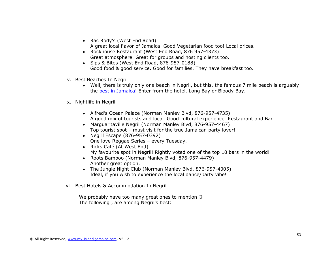- Ras Rody's (West End Road) A great local flavor of Jamaica. Good Vegetarian food too! Local prices.
- Rockhouse Restaurant (West End Road, 876 957-4373) Great atmosphere. Great for groups and hosting clients too.
- Sips & Bites (West End Road, 876-957-0188) Good food & good service. Good for families. They have breakfast too.
- v. Best Beaches In Negril
	- Well, there is truly only one beach in Negril, but this, the famous 7 mile beach is arguably the [best in Jamaica!](#page-22-0) Enter from the hotel, Long Bay or Bloody Bay.
- x. Nightlife in Negril
	- Alfred's Ocean Palace (Norman Manley Blvd, 876-957-4735) A good mix of tourists and local. Good cultural experience. Restaurant and Bar.
	- Marguaritaville Negril (Norman Manley Blvd, 876-957-4467) Top tourist spot – must visit for the true Jamaican party lover!
	- Negril Escape (876-957-0392) One love Reggae Series – every Tuesday.
	- Ricks Café (At West End) My favourite spot in Negril! Rightly voted one of the top 10 bars in the world!
	- Roots Bamboo (Norman Manley Blvd, 876-957-4479) Another great option.
	- The Jungle Night Club (Norman Manley Blvd, 876-957-4005) Ideal, if you wish to experience the local dance/party vibe!
- vi. Best Hotels & Accommodation In Negril

We probably have too many great ones to mention  $\odot$ The following , are among Negril's best: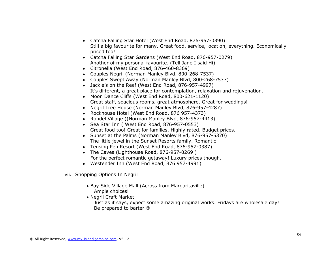- Catcha Falling Star Hotel (West End Road, 876-957-0390) Still a big favourite for many. Great food, service, location, everything. Economically priced too!
- Catcha Falling Star Gardens (West End Road, 876-957-0279) Another of my personal favourite. (Tell Jane I said Hi)
- Citronella (West End Road, 876-460-8369)
- Couples Negril (Norman Manley Blvd, 800-268-7537)
- Couples Swept Away (Norman Manley Blvd, 800-268-7537)
- Jackie's on the Reef (West End Road, 876-957-4997) It's different, a great place for contemplation, relaxation and rejuvenation.
- Moon Dance Cliffs (West End Road, 800-621-1120) Great staff, spacious rooms, great atmosphere. Great for weddings!
- Negril Tree House (Norman Manley Blvd, 876-957-4287)
- Rockhouse Hotel (West End Road, 876 957-4373)
- Rondel Village ((Norman Manley Blvd, 876-957-4413)
- Sea Star Inn ( West End Road, 876-957-0553) Great food too! Great for families. Highly rated. Budget prices.
- Sunset at the Palms (Norman Manley Blvd, 876-957-5370) The little jewel in the Sunset Resorts family. Romantic
- Tensing Pen Resort (West End Road, 876-957-0387)
- The Caves (Lighthouse Road, 876-957-0269) For the perfect romantic getaway! Luxury prices though.
- Westender Inn (West End Road, 876 957-4991)
- vii. Shopping Options In Negril
	- Bay Side Village Mall (Across from Margaritaville) Ample choices!
	- Negril Craft Market

Just as it says, expect some amazing original works. Fridays are wholesale day! Be prepared to barter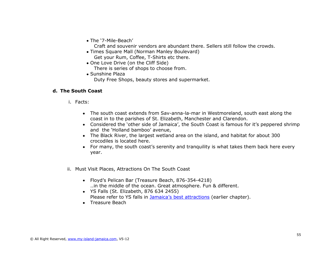The '7-Mile-Beach'

Craft and souvenir vendors are abundant there. Sellers still follow the crowds.

- Times Square Mall (Norman Manley Boulevard) Get your Rum, Coffee, T-Shirts etc there.
- One Love Drive (on the Cliff Side)
	- There is series of shops to choose from.
- Sunshine Plaza Duty Free Shops, beauty stores and supermarket.

## **d. The South Coast**

- i. Facts:
	- The south coast extends from Sav-anna-la-mar in Westmoreland, south east along the coast in to the parishes of St. Elizabeth, Manchester and Clarendon.
	- Considered the 'other side of Jamaica', the South Coast is famous for it's peppered shrimp and the 'Holland bamboo' avenue,
	- The Black River, the largest wetland area on the island, and habitat for about 300 crocodiles is located here.
	- For many, the south coast's serenity and tranquility is what takes them back here every year.
- ii. Must Visit Places, Attractions On The South Coast
	- Floyd's Pelican Bar (Treasure Beach, 876-354-4218) ..in the middle of the ocean. Great atmosphere. Fun & different.
	- YS Falls (St. Elizabeth, 876 634 2455) Please refer to YS falls in [Jamaica's best attractions](#page-22-0) (earlier chapter).
	- Treasure Beach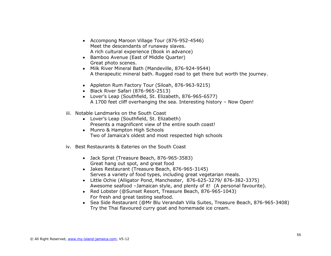- Accompong Maroon Village Tour (876-952-4546) Meet the descendants of runaway slaves. A rich cultural experience (Book in advance)
- Bamboo Avenue (East of Middle Quarter) Great photo scenes.
- Milk River Mineral Bath (Mandeville, 876-924-9544) A therapeutic mineral bath. Rugged road to get there but worth the journey.
- Appleton Rum Factory Tour (Siloah, 876-963-9215)
- Black River Safari (876-965-2513)
- Lover's Leap (Southfield, St. Elizabeth, 876-965-6577) A 1700 feet cliff overhanging the sea. Interesting history – Now Open!
- iii. Notable Landmarks on the South Coast
	- Lover's Leap (Southfield, St. Elizabeth) Presents a magnificent view of the entire south coast!
	- Munro & Hampton High Schools Two of Jamaica's oldest and most respected high schools
- iv. Best Restaurants & Eateries on the South Coast
	- Jack Sprat (Treasure Beach, 876-965-3583) Great hang out spot, and great food
	- Jakes Restaurant (Treasure Beach, 876-965-3145) Serves a variety of food types, including great vegetarian meals.
	- Little Ochie (Alligator Pond, Manchester, 876-625-3279/ 876-382-3375) Awesome seafood –Jamaican style, and plenty of it! (A personal favourite).
	- Red Lobster (@Sunset Resort, Treasure Beach, 876-965-1043) For fresh and great tasting seafood.
	- Sea Side Restaurant (@Mr Blu Verandah Villa Suites, Treasure Beach, 876-965-3408) Try the Thai flavoured curry goat and homemade ice cream.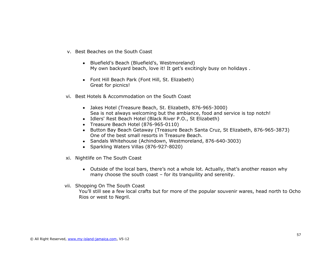- v. Best Beaches on the South Coast
	- Bluefield's Beach (Bluefield's, Westmoreland) My own backyard beach, love it! It get's excitingly busy on holidays .
	- Font Hill Beach Park (Font Hill, St. Elizabeth) Great for picnics!
- vi. Best Hotels & Accommodation on the South Coast
	- Jakes Hotel (Treasure Beach, St. Elizabeth, 876-965-3000) Sea is not always welcoming but the ambiance, food and service is top notch!
	- Idlers' Rest Beach Hotel (Black River P.O., St Elizabeth)
	- Treasure Beach Hotel (876-965-0110)
	- Button Bay Beach Getaway (Treasure Beach Santa Cruz, St Elizabeth, 876-965-3873) One of the best small resorts in Treasure Beach.
	- Sandals Whitehouse (Achindown, Westmoreland, 876-640-3003)
	- Sparkling Waters Villas (876-927-8020)
- xi. Nightlife on The South Coast
	- Outside of the local bars, there's not a whole lot. Actually, that's another reason why many choose the south coast – for its tranquility and serenity.
- vii. Shopping On The South Coast

You'll still see a few local crafts but for more of the popular souvenir wares, head north to Ocho Rios or west to Negril.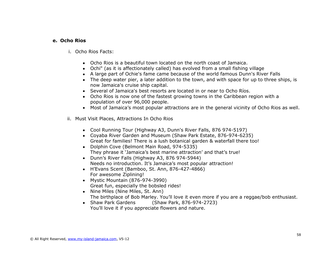### **e. Ocho Rios**

- i. Ocho Rios Facts:
	- Ocho Rios is a beautiful town located on the north coast of Jamaica.
	- Ochi" (as it is affectionately called) has evolved from a small fishing village
	- A large part of Ochie's fame came because of the world famous Dunn's River Falls
	- The deep water pier, a later addition to the town, and with space for up to three ships, is now Jamaica's cruise ship capital.
	- Several of Jamaica's best resorts are located in or near to Ocho Ríos.
	- Ocho Rios is now one of the fastest growing towns in the Caribbean region with a population of over 96,000 people.
	- Most of Jamaica's most popular attractions are in the general vicinity of Ocho Rios as well.
- ii. Must Visit Places, Attractions In Ocho Rios
	- Cool Running Tour (Highway A3, Dunn's River Falls, 876 974-5197)
	- Coyaba River Garden and Museum (Shaw Park Estate, 876-974-6235) Great for families! There is a lush botanical garden & waterfall there too!
	- Dolphin Cove (Belmont Main Road, 974-5335) They phrase it 'Jamaica's best marine attraction' and that's true!
	- Dunn's River Falls (Highway A3, 876 974-5944) Needs no introduction. It's Jamaica's most popular attraction!
	- H'Evans Scent (Bamboo, St. Ann, 876-427-4866) For awesome Ziplining!
	- Mystic Mountain (876-974-3990) Great fun, especially the bobsled rides!
	- Nine Miles (Nine Miles, St. Ann) The birthplace of Bob Marley. You'll love it even more if you are a reggae/bob enthusiast.
	- Shaw Park Gardens (Shaw Park, 876-974-2723) You'll love it if you appreciate flowers and nature.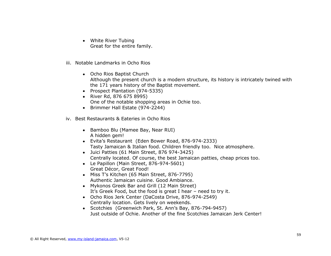- White River Tubing Great for the entire family.
- iii. Notable Landmarks in Ocho Rios
	- Ocho Rios Baptist Church Although the present church is a modern structure, its history is intricately twined with the 171 years history of the Baptist movement.
	- Prospect Plantation (974-5335)
	- River Rd, 876 675 8995) One of the notable shopping areas in Ochie too.
	- Brimmer Hall Estate (974-2244)
- iv. Best Restaurants & Eateries in Ocho Rios
	- Bamboo Blu (Mamee Bay, Near RUI) A hidden gem!
	- Evita's Restaurant (Eden Bower Road, 876-974-2333) Tasty Jamaican & Italian food. Children friendly too. Nice atmosphere.
	- Juici Patties (61 Main Street, 876 974-3425) Centrally located. Of course, the best Jamaican patties, cheap prices too.
	- Le Papillon (Main Street, 876-974-5601) Great Décor, Great Food!
	- Miss T's Kitchen (65 Main Street, 876-7795) Authentic Jamaican cuisine. Good Ambiance.
	- Mykonos Greek Bar and Grill (12 Main Street) It's Greek Food, but the food is great I hear – need to try it.
	- Ocho Rios Jerk Center (DaCosta Drive, 876-974-2549) Centrally location. Gets lively on weekends.
	- Scotchies (Greenwich Park, St. Ann's Bay, 876-794-9457) Just outside of Ochie. Another of the fine Scotchies Jamaican Jerk Center!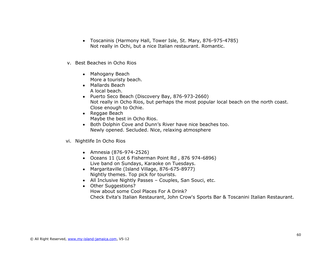- Toscaninis (Harmony Hall, Tower Isle, St. Mary, 876-975-4785) Not really in Ochi, but a nice Italian restaurant. Romantic.
- v. Best Beaches in Ocho Rios
	- Mahogany Beach More a touristy beach.
	- Mallards Beach A local beach.
	- Puerto Seco Beach (Discovery Bay, 876-973-2660) Not really in Ocho Rios, but perhaps the most popular local beach on the north coast. Close enough to Ochie.
	- Reggae Beach Maybe the best in Ocho Rios.
	- Both Dolphin Cove and Dunn's River have nice beaches too. Newly opened. Secluded. Nice, relaxing atmosphere
- vi. Nightlife In Ocho Rios
	- Amnesia (876-974-2526)
	- Oceans 11 (Lot 6 Fisherman Point Rd , 876 974-6896) Live band on Sundays, Karaoke on Tuesdays.
	- Margaritaville (Island Village, 876-675-8977) Nightly themes. Top pick for tourists.
	- All Inclusive Nightly Passes Couples, San Souci, etc.
	- Other Suggestions?
		- How about some Cool Places For A Drink? Check Evita's Italian Restaurant, John Crow's Sports Bar & Toscanini Italian Restaurant.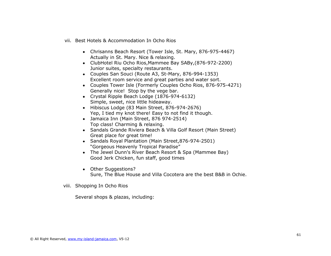- vii. Best Hotels & Accommodation In Ocho Rios
	- Chrisanns Beach Resort (Tower Isle, St. Mary, 876-975-4467) Actually in St. Mary. Nice & relaxing.
	- ClubHotel Riu Ocho Rios,Mammee Bay SABy,(876-972-2200) Junior suites, specialty restaurants.
	- Couples San Souci (Route A3, St-Mary, 876-994-1353) Excellent room service and great parties and water sort.
	- Couples Tower Isle (Formerly Couples Ocho Rios, 876-975-4271) Generally nice! Stop by the vege bar.
	- Crystal Ripple Beach Lodge (1876-974-6132) Simple, sweet, nice little hideaway.
	- Hibiscus Lodge (83 Main Street, 876-974-2676) Yep, I tied my knot there! Easy to not find it though.
	- Jamaica Inn (Main Street, 876 974-2514) Top class! Charming & relaxing.
	- Sandals Grande Riviera Beach & Villa Golf Resort (Main Street) Great place for great time!
	- Sandals Royal Plantation (Main Street, 876-974-2501) "Gorgeous Heavenly Tropical Paradise"
	- The Jewel Dunn's River Beach Resort & Spa (Mammee Bay) Good Jerk Chicken, fun staff, good times
	- Other Suggestions? Sure, The Blue House and Villa Cocotera are the best B&B in Ochie.
- viii. Shopping In Ocho Rios

Several shops & plazas, including: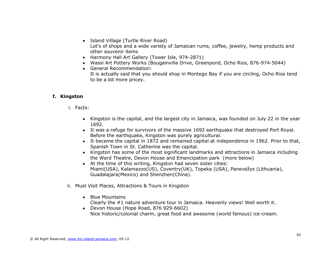- Island Village (Turtle River Road) Lot's of shops and a wide variety of Jamaican rums, coffee, jewelry, hemp products and other souvenir items
- Harmony Hall Art Gallery (Tower Isle, 974-2871)
- Wassi Art Pottery Works (Bougainvilla Drive, Greenpond, Ocho Rios, 876-974-5044)
- General Recommendation: It is actually said that you should shop in Montego Bay if you are circling, Ocho Rios tend to be a bit more pricey.

### **f. Kingston**

- i. Facts:
	- Kingston is the capital, and the largest city in Jamaica, was founded on July 22 in the year 1692.
	- It was a refuge for survivors of the massive 1692 earthquake that destroyed Port Royal. Before the earthquake, Kingston was purely agricultural.
	- It became the capital in 1872 and remained capital at independence in 1962. Prior to that, Spanish Town in St. Catherine was the capital.
	- Kingston has some of the most significant landmarks and attractions in Jamaica including the Ward Theatre, Devon House and Emancipation park (more below)
	- At the time of this writing, Kingston had seven sister cities: Miami(USA), Kalamazoo(US), Coventry(UK), Topeka (USA), Panevėžys (Lithuania), Guadalajara(Mexico) and Shenzhen(China).
- ii. Must Visit Places, Attractions & Tours in Kingston
	- Blue Mountains
		- Clearly the #1 nature adventure tour in Jamaica. Heavenly views! Well worth it.
	- Devon House (Hope Road, 876 929-6602) Nice historic/colonial charm, great food and awesome (world famous) ice-cream.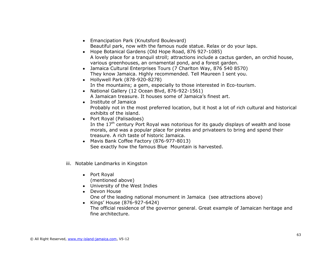- Emancipation Park (Knutsford Boulevard) Beautiful park, now with the famous nude statue. Relax or do your laps.
- Hope Botanical Gardens (Old Hope Road, 876 927-1085) A lovely place for a tranquil stroll; attractions include a cactus garden, an orchid house, various greenhouses, an ornamental pond, and a forest garden.
- Jamaica Cultural Enterprises Tours (7 Charlton Way, 876 540 8570) They know Jamaica. Highly recommended. Tell Maureen I sent you.
- Hollywell Park (878-920-8278) In the mountains; a gem, especially to those interested in Eco-tourism.
- National Gallery (12 Ocean Blvd, 876-922-1561) A Jamaican treasure. It houses some of Jamaica's finest art.
- Institute of Jamaica Probably not in the most preferred location, but it host a lot of rich cultural and historical
- exhibits of the island. • Port Royal (Palisadoes)
	- In the  $17<sup>th</sup>$  century Port Royal was notorious for its gaudy displays of wealth and loose morals, and was a popular place for pirates and privateers to bring and spend their treasure. A rich taste of historic Jamaica.
- Mavis Bank Coffee Factory (876-977-8013) See exactly how the famous Blue Mountain is harvested.
- iii. Notable Landmarks in Kingston
	- Port Royal (mentioned above)
	- University of the West Indies
	- Devon House
		- One of the leading national monument in Jamaica (see attractions above)
	- Kings' House (876-927-6424) The official residence of the governor general. Great example of Jamaican heritage and fine architecture.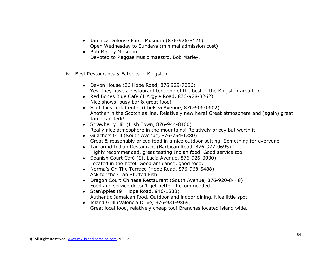- Jamaica Defense Force Museum (876-926-8121) Open Wednesday to Sundays (minimal admission cost)
- Bob Marley Museum Devoted to Reggae Music maestro, Bob Marley.
- iv. Best Restaurants & Eateries in Kingston
	- Devon House (26 Hope Road, 876 929-7086) Yes, they have a restaurant too, one of the best in the Kingston area too!
	- Red Bones Blue Café (1 Argyle Road, 876-978-8262) Nice shows, busy bar & great food!
	- Scotchies Jerk Center (Chelsea Avenue, 876-906-0602) Another in the Scotchies line. Relatively new here! Great atmosphere and (again) great Jamaican Jerk!
	- Strawberry Hill (Irish Town, 876-944-8400) Really nice atmosphere in the mountains! Relatively pricey but worth it!
	- Guacho's Grill (South Avenue, 876-754-1380) Great & reasonably priced food in a nice outdoor setting. Something for everyone.
	- Tamarind Indian Restaurant (Barbican Road, 876-977-0695) Highly recommended, great tasting Indian food. Good service too.
	- Spanish Court Café (St. Lucia Avenue, 876-926-0000) Located in the hotel. Good ambiance, good food.
	- Norma's On The Terrace (Hope Road, 876-968-5488) Ask for the Crab Stuffed Fish!
	- Dragon Court Chinese Restaurant (South Avenue, 876-920-8448) Food and service doesn't get better! Recommended.
	- StarApples (94 Hope Road, 946-1833) Authentic Jamaican food. Outdoor and indoor dining. Nice little spot
	- Island Grill (Valencia Drive, 876-931-9869) Great local food, relatively cheap too! Branches located island wide.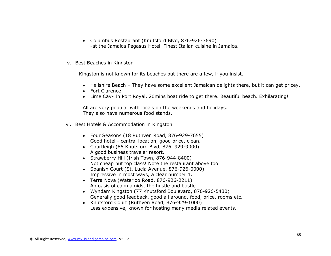- Columbus Restaurant (Knutsford Blvd, 876-926-3690) -at the Jamaica Pegasus Hotel. Finest Italian cuisine in Jamaica.
- v. Best Beaches in Kingston

Kingston is not known for its beaches but there are a few, if you insist.

- Hellshire Beach They have some excellent Jamaican delights there, but it can get pricey.
- Fort Clarence
- Lime Cay- In Port Royal, 20mins boat ride to get there. Beautiful beach. Exhilarating!

All are very popular with locals on the weekends and holidays. They also have numerous food stands.

- vi. Best Hotels & Accommodation in Kingston
	- Four Seasons (18 Ruthven Road, 876-929-7655) Good hotel - central location, good price, clean.
	- Courtleigh (85 Knutsford Blvd, 876, 929-9000) A good business traveler resort.
	- Strawberry Hill (Irish Town, 876-944-8400) Not cheap but top class! Note the restaurant above too.
	- Spanish Court (St. Lucia Avenue, 876-926-0000) Impressive in most ways, a clear number 1.
	- Terra Nova (Waterloo Road, 876-926-2211) An oasis of calm amidst the hustle and bustle.
	- Wyndam Kingston (77 Knutsford Boulevard, 876-926-5430) Generally good feedback, good all around, food, price, rooms etc.
	- Knutsford Court (Ruthven Road, 876-929-1000) Less expensive, known for hosting many media related events.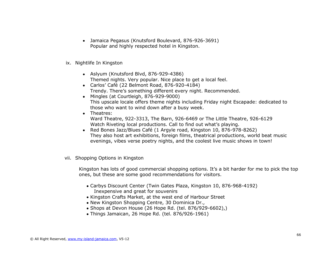- Jamaica Pegasus (Knutsford Boulevard, 876-926-3691) Popular and highly respected hotel in Kingston.
- ix. Nightlife In Kingston
	- Aslyum (Knutsford Blvd, 876-929-4386) Themed nights. Very popular. Nice place to get a local feel.
	- Carlos' Café (22 Belmont Road, 876-920-4184) Trendy. There's something different every night. Recommended.
	- Mingles (at Courtleigh, 876-929-9000) This upscale locale offers theme nights including Friday night Escapade: dedicated to those who want to wind down after a busy week.
	- Theatres: Ward Theatre, 922-3313, The Barn, 926-6469 or The Little Theatre, 926-6129 Watch Riveting local productions. Call to find out what's playing.
	- Red Bones Jazz/Blues Café (1 Argyle road, Kingston 10, 876-978-8262) They also host art exhibitions, foreign films, theatrical productions, world beat music evenings, vibes verse poetry nights, and the coolest live music shows in town!
- vii. Shopping Options in Kingston

Kingston has lots of good commercial shopping options. It's a bit harder for me to pick the top ones, but these are some good recommendations for visitors.

- Carbys Discount Center (Twin Gates Plaza, Kingston 10, 876-968-4192) Inexpensive and great for souvenirs
- Kingston Crafts Market, at the west end of Harbour Street
- New Kingston Shopping Centre, 30 Dominica Dr.,
- Shops at Devon House (26 Hope Rd. (tel. 876/929-6602),)
- Things Jamaican, 26 Hope Rd. (tel. 876/926-1961)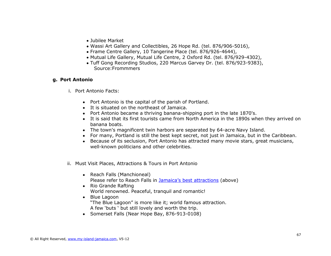- Jubilee Market
- Wassi Art Gallery and Collectibles, 26 Hope Rd. (tel. 876/906-5016),
- Frame Centre Gallery, 10 Tangerine Place (tel. 876/926-4644),
- Mutual Life Gallery, Mutual Life Centre, 2 Oxford Rd. (tel. 876/929-4302),
- Tuff Gong Recording Studios, 220 Marcus Garvey Dr. (tel. 876/923-9383), Source:Frommmers

### **g. Port Antonio**

- i. Port Antonio Facts:
	- Port Antonio is the capital of the parish of Portland.
	- It is situated on the northeast of Jamaica.
	- Port Antonio became a thriving banana-shipping port in the late 1870's.
	- It is said that its first tourists came from North America in the 1890s when they arrived on banana boats.
	- The town's magnificent twin harbors are separated by 64-acre Navy Island.
	- For many, Portland is still the best kept secret, not just in Jamaica, but in the Caribbean.
	- Because of its seclusion, Port Antonio has attracted many movie stars, great musicians, well-known politicians and other celebrities.
- ii. Must Visit Places, Attractions & Tours in Port Antonio
	- Reach Falls (Manchioneal) Please refer to Reach Falls in [Jamaica's best attractions](#page-22-0) (above)
	- Rio Grande Rafting World renowned. Peaceful, tranquil and romantic!
	- Blue Lagoon "The Blue Lagoon" is more like it; world famous attraction. A few 'buts ' but still lovely and worth the trip.
	- Somerset Falls (Near Hope Bay, 876-913-0108)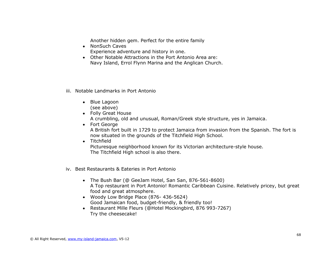Another hidden gem. Perfect for the entire family

- NonSuch Caves Experience adventure and history in one.
- Other Notable Attractions in the Port Antonio Area are: Navy Island, Errol Flynn Marina and the Anglican Church.
- iii. Notable Landmarks in Port Antonio
	- Blue Lagoon (see above)
	- Folly Great House A crumbling, old and unusual, Roman/Greek style structure, yes in Jamaica.
	- Fort George A British fort built in 1729 to protect Jamaica from invasion from the Spanish. The fort is now situated in the grounds of the Titchfield High School.
	- **•** Titchfield Picturesque neighborhood known for its Victorian architecture-style house. The Titchfield High school is also there.
- iv. Best Restaurants & Eateries in Port Antonio
	- The Bush Bar (@ GeeJam Hotel, San San, 876-561-8600) A Top restaurant in Port Antonio! Romantic Caribbean Cuisine. Relatively pricey, but great food and great atmosphere.
	- Woody Low Bridge Place (876- 436-5624) Good Jamaican food, budget-friendly, & friendly too!
	- Restaurant Mille Fleurs (@Hotel Mockingbird, 876 993-7267) Try the cheesecake!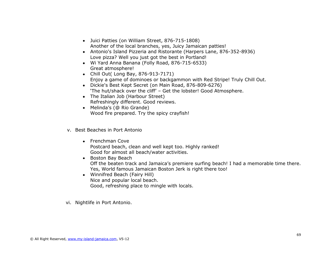- Juici Patties (on William Street, 876-715-1808) Another of the local branches, yes, Juicy Jamaican patties!
- Antonio's Island Pizzeria and Ristorante (Harpers Lane, 876-352-8936) Love pizza? Well you just got the best in Portland!
- Wi Yard Anna Banana (Folly Road, 876-715-6533) Great atmosphere!
- Chill Out( Long Bay, 876-913-7171) Enjoy a game of dominoes or backgammon with Red Stripe! Truly Chill Out.
- Dickie's Best Kept Secret (on Main Road, 876-809-6276) 'The hut/shack over the cliff' – Get the lobster! Good Atmosphere.
- The Italian Job (Harbour Street) Refreshingly different. Good reviews.
- Melinda's (@ Rio Grande) Wood fire prepared. Try the spicy crayfish!
- v. Best Beaches in Port Antonio
	- Frenchman Cove Postcard beach, clean and well kept too. Highly ranked! Good for almost all beach/water activities.
	- Boston Bay Beach Off the beaten track and Jamaica's premiere surfing beach! I had a memorable time there. Yes, World famous Jamaican Boston Jerk is right there too!
	- Winnifred Beach (Fairy Hill) Nice and popular local beach. Good, refreshing place to mingle with locals.
- vi. Nightlife in Port Antonio.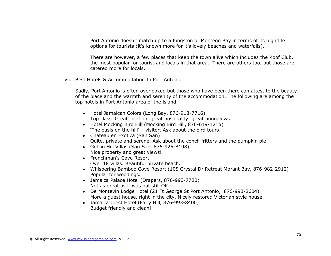Port Antonio doesn't match up to a Kingston or Montego Bay in terms of its nightlife options for tourists (it's known more for it's lovely beaches and waterfalls).

There are however, a few places that keep the town alive which includes the Roof Club, the most popular for tourist and locals in that area. There are others too, but those are catered more for locals.

vii. Best Hotels & Accommodation In Port Antonio

Sadly, Port Antonio is often overlooked but those who have been there can attest to the beauty of the place and the warmth and serenity of the accommodation. The following are among the top hotels in Port Antonio area of the island.

- Hotel Jamaican Colors (Long Bay, 876-913-7716) Top class. Great location, great hospitality, great bungalows
- Hotel Mocking Bird Hill (Mocking Bird Hill, 876-619-1215) 'The oasis on the hill' – visitor. Ask about the bird tours.
- Chateau en Exotica (San San) Quite, private and serene. Ask about the conch fritters and the pumpkin pie!
- Goblin Hill Villas (San San, 876-925-8108) Nice property and great views!
- Frenchman's Cove Resort Over 18 villas. Beautiful private beach.
- Whispering Bamboo Cove Resort (105 Crystal Dr Retreat Morant Bay, 876-982-2912) Popular for weddings.
- Jamaica Palace Hotel (Drapers, 876-993-7720) Not as great as it was but still OK.
- De Montevin Lodge Hotel (21 Ft George St Port Antonio, 876-993-2604) More a guest house, right in the city. Nicely restored Victorian style house.
- Jamaica Crest Hotel (Fairy Hill, 876-993-8400) Budget friendly and clean!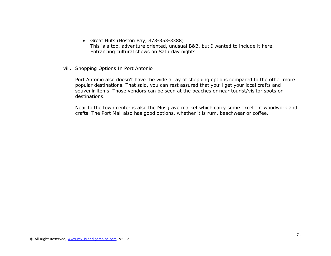- Great Huts (Boston Bay, 873-353-3388) This is a top, adventure oriented, unusual B&B, but I wanted to include it here. Entrancing cultural shows on Saturday nights
- viii. Shopping Options In Port Antonio

Port Antonio also doesn't have the wide array of shopping options compared to the other more popular destinations. That said, you can rest assured that you'll get your local crafts and souvenir items. Those vendors can be seen at the beaches or near tourist/visitor spots or destinations.

Near to the town center is also the Musgrave market which carry some excellent woodwork and crafts. The Port Mall also has good options, whether it is rum, beachwear or coffee.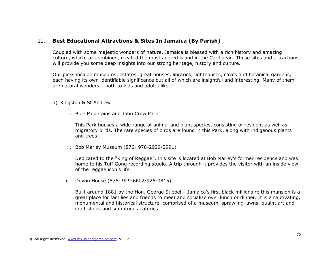# 11. **Best Educational Attractions & Sites In Jamaica (By Parish)**

Coupled with some majestic wonders of nature, Jamaica is blessed with a rich history and amazing culture, which, all combined, created the most adored island in the Caribbean. These sites and attractions, will provide you some deep insights into our strong heritage, history and culture.

Our picks include museums, estates, great houses, libraries, lighthouses, caves and botanical gardens, each having its own identifiable significance but all of which are insightful and interesting. Many of them are natural wonders – both to kids and adult alike.

#### a) Kingston & St Andrew

i. Blue Mountains and John Crow Park

This Park houses a wide range of animal and plant species, consisting of resident as well as migratory birds. The rare species of birds are found in this Park, along with indigenous plants and trees.

ii. Bob Marley Museum (876- 978-2929/2991)

Dedicated to the "King of Reggae", this site is located at Bob Marley's former residence and was home to his Tuff Gong recording studio. A trip through it provides the visitor with an inside view of the reggae icon's life.

iii. Devon House (876- 929-6602/926-0815)

Built around 1881 by the Hon. George Stiebel – Jamaica's first black millionaire this mansion is a great place for families and friends to meet and socialize over lunch or dinner. It is a captivating, monumental and historical structure, comprised of a museum, sprawling lawns, quaint art and craft shops and sumptuous eateries.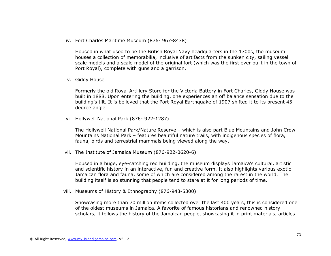iv. Fort Charles Maritime Museum (876- 967-8438)

Housed in what used to be the British Royal Navy headquarters in the 1700s, the museum houses a collection of memorabilia, inclusive of artifacts from the sunken city, sailing vessel scale models and a scale model of the original fort (which was the first ever built in the town of Port Royal), complete with guns and a garrison.

v. Giddy House

Formerly the old Royal Artillery Store for the Victoria Battery in Fort Charles, Giddy House was built in 1888. Upon entering the building, one experiences an off balance sensation due to the building's tilt. It is believed that the Port Royal Earthquake of 1907 shifted it to its present 45 degree angle.

vi. Hollywell National Park (876- 922-1287)

The Hollywell National Park/Nature Reserve – which is also part Blue Mountains and John Crow Mountains National Park – features beautiful nature trails, with indigenous species of flora, fauna, birds and terrestrial mammals being viewed along the way.

vii. The Institute of Jamaica Museum (876-922-0620-6)

Housed in a huge, eye-catching red building, the museum displays Jamaica's cultural, artistic and scientific history in an interactive, fun and creative form. It also highlights various exotic Jamaican flora and fauna, some of which are considered among the rarest in the world. The building itself is so stunning that people tend to stare at it for long periods of time.

viii. Museums of History & Ethnography (876-948-5300)

Showcasing more than 70 million items collected over the last 400 years, this is considered one of the oldest museums in Jamaica. A favorite of famous historians and renowned history scholars, it follows the history of the Jamaican people, showcasing it in print materials, articles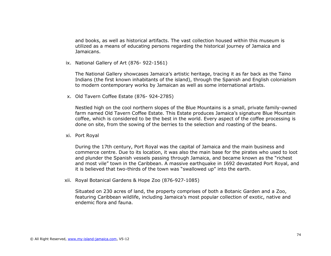and books, as well as historical artifacts. The vast collection housed within this museum is utilized as a means of educating persons regarding the historical journey of Jamaica and Jamaicans.

ix. National Gallery of Art (876- 922-1561)

The National Gallery showcases Jamaica's artistic heritage, tracing it as far back as the Taino Indians (the first known inhabitants of the island), through the Spanish and English colonialism to modern contemporary works by Jamaican as well as some international artists.

x. Old Tavern Coffee Estate (876- 924-2785)

Nestled high on the cool northern slopes of the Blue Mountains is a small, private family-owned farm named Old Tavern Coffee Estate. This Estate produces Jamaica's signature Blue Mountain coffee, which is considered to be the best in the world. Every aspect of the coffee processing is done on site, from the sowing of the berries to the selection and roasting of the beans.

xi. Port Royal

During the 17th century, Port Royal was the capital of Jamaica and the main business and commerce centre. Due to its location, it was also the main base for the pirates who used to loot and plunder the Spanish vessels passing through Jamaica, and became known as the "richest and most vile" town in the Caribbean. A massive earthquake in 1692 devastated Port Royal, and it is believed that two-thirds of the town was "swallowed up" into the earth.

xii. Royal Botanical Gardens & Hope Zoo (876-927-1085)

Situated on 230 acres of land, the property comprises of both a Botanic Garden and a Zoo, featuring Caribbean wildlife, including Jamaica's most popular collection of exotic, native and endemic flora and fauna.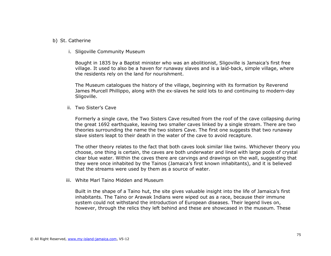#### b) St. Catherine

i. Sligoville Community Museum

Bought in 1835 by a Baptist minister who was an abolitionist, Sligoville is Jamaica's first free village. It used to also be a haven for runaway slaves and is a laid-back, simple village, where the residents rely on the land for nourishment.

The Museum catalogues the history of the village, beginning with its formation by Reverend James Murcell Phillippo, along with the ex-slaves he sold lots to and continuing to modern-day Sligoville.

ii. Two Sister's Cave

Formerly a single cave, the Two Sisters Cave resulted from the roof of the cave collapsing during the great 1692 earthquake, leaving two smaller caves linked by a single stream. There are two theories surrounding the name the two sisters Cave. The first one suggests that two runaway slave sisters leapt to their death in the water of the cave to avoid recapture.

The other theory relates to the fact that both caves look similar like twins. Whichever theory you choose, one thing is certain, the caves are both underwater and lined with large pools of crystal clear blue water. Within the caves there are carvings and drawings on the wall, suggesting that they were once inhabited by the Tainos (Jamaica's first known inhabitants), and it is believed that the streams were used by them as a source of water.

iii. White Marl Taino Midden and Museum

Built in the shape of a Taino hut, the site gives valuable insight into the life of Jamaica's first inhabitants. The Taino or Arawak Indians were wiped out as a race, because their immune system could not withstand the introduction of European diseases. Their legend lives on, however, through the relics they left behind and these are showcased in the museum. These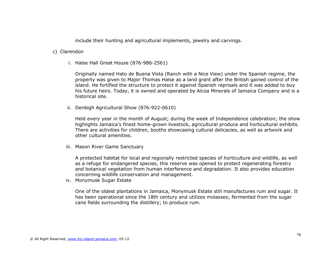include their hunting and agricultural implements, jewelry and carvings.

#### c) Clarendon

i. Halse Hall Great House (876-986-2561)

Originally named Hato de Buena Vista (Ranch with a Nice View) under the Spanish regime, the property was given to Major Thomas Halse as a land grant after the British gained control of the island. He fortified the structure to protect it against Spanish reprisals and it was added to buy his future heirs. Today, it is owned and operated by Alcoa Minerals of Jamaica Company and is a historical site.

ii. Denbigh Agricultural Show (876-922-0610)

Held every year in the month of August; during the week of Independence celebration; the show highlights Jamaica's finest home-grown livestock, agricultural produce and horticultural exhibits. There are activities for children, booths showcasing cultural delicacies, as well as artwork and other cultural amenities.

iii. Mason River Game Sanctuary

A protected habitat for local and regionally restricted species of horticulture and wildlife, as well as a refuge for endangered species, this reserve was opened to protect regenerating forestry and botanical vegetation from human interference and degradation. It also provides education concerning wildlife conservation and management.

iv. Monymusk Sugar Estate

One of the oldest plantations in Jamaica, Monymusk Estate still manufactures rum and sugar. It has been operational since the 18th century and utilizes molasses; fermented from the sugar cane fields surrounding the distillery; to produce rum.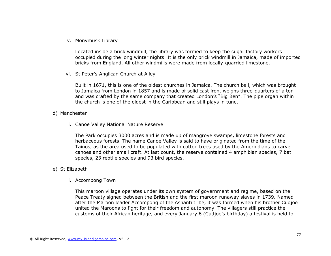v. Monymusk Library

Located inside a brick windmill, the library was formed to keep the sugar factory workers occupied during the long winter nights. It is the only brick windmill in Jamaica, made of imported bricks from England. All other windmills were made from locally-quarried limestone.

vi. St Peter's Anglican Church at Alley

Built in 1671, this is one of the oldest churches in Jamaica. The church bell, which was brought to Jamaica from London in 1857 and is made of solid cast iron, weighs three-quarters of a ton and was crafted by the same company that created London's "Big Ben". The pipe organ within the church is one of the oldest in the Caribbean and still plays in tune.

- d) Manchester
	- i. Canoe Valley National Nature Reserve

The Park occupies 3000 acres and is made up of mangrove swamps, limestone forests and herbaceous forests. The name Canoe Valley is said to have originated from the time of the Tainos, as the area used to be populated with cotton trees used by the Amerindians to carve canoes and other small craft. At last count, the reserve contained 4 amphibian species, 7 bat species, 23 reptile species and 93 bird species.

- e) St Elizabeth
	- i. Accompong Town

This maroon village operates under its own system of government and regime, based on the Peace Treaty signed between the British and the first maroon runaway slaves in 1739. Named after the Maroon leader Accompong of the Ashanti tribe, it was formed when his brother Cudjoe united the Maroons to fight for their freedom and autonomy. The villagers still practice the customs of their African heritage, and every January 6 (Cudjoe's birthday) a festival is held to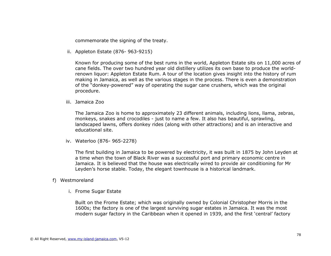commemorate the signing of the treaty.

ii. Appleton Estate (876- 963-9215)

Known for producing some of the best rums in the world, Appleton Estate sits on 11,000 acres of cane fields. The over two hundred year old distillery utilizes its own base to produce the worldrenown liquor: Appleton Estate Rum. A tour of the location gives insight into the history of rum making in Jamaica, as well as the various stages in the process. There is even a demonstration of the "donkey-powered" way of operating the sugar cane crushers, which was the original procedure.

iii. Jamaica Zoo

The Jamaica Zoo is home to approximately 23 different animals, including lions, llama, zebras, monkeys, snakes and crocodiles - just to name a few. It also has beautiful, sprawling, landscaped lawns, offers donkey rides (along with other attractions) and is an interactive and educational site.

iv. Waterloo (876- 965-2278)

The first building in Jamaica to be powered by electricity, it was built in 1875 by John Leyden at a time when the town of Black River was a successful port and primary economic centre in Jamaica. It is believed that the house was electrically wired to provide air conditioning for Mr Leyden's horse stable. Today, the elegant townhouse is a historical landmark.

#### f) Westmoreland

i. Frome Sugar Estate

Built on the Frome Estate; which was originally owned by Colonial Christopher Morris in the 1600s; the factory is one of the largest surviving sugar estates in Jamaica. It was the most modern sugar factory in the Caribbean when it opened in 1939, and the first 'central' factory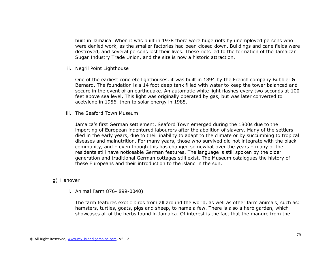built in Jamaica. When it was built in 1938 there were huge riots by unemployed persons who were denied work, as the smaller factories had been closed down. Buildings and cane fields were destroyed, and several persons lost their lives. These riots led to the formation of the Jamaican Sugar Industry Trade Union, and the site is now a historic attraction.

ii. Negril Point Lighthouse

One of the earliest concrete lighthouses, it was built in 1894 by the French company Bubbler & Bernard. The foundation is a 14 foot deep tank filled with water to keep the tower balanced and secure in the event of an earthquake. An automatic white light flashes every two seconds at 100 feet above sea level, This light was originally operated by gas, but was later converted to acetylene in 1956, then to solar energy in 1985.

iii. The Seaford Town Museum

Jamaica's first German settlement, Seaford Town emerged during the 1800s due to the importing of European indentured labourers after the abolition of slavery. Many of the settlers died in the early years, due to their inability to adapt to the climate or by succumbing to tropical diseases and malnutrition. For many years, those who survived did not integrate with the black community, and – even though this has changed somewhat over the years – many of the residents still have noticeable German features. The language is still spoken by the older generation and traditional German cottages still exist. The Museum catalogues the history of these Europeans and their introduction to the island in the sun.

- g) Hanover
	- i. Animal Farm 876- 899-0040)

The farm features exotic birds from all around the world, as well as other farm animals, such as: hamsters, turtles, goats, pigs and sheep, to name a few. There is also a herb garden, which showcases all of the herbs found in Jamaica. Of interest is the fact that the manure from the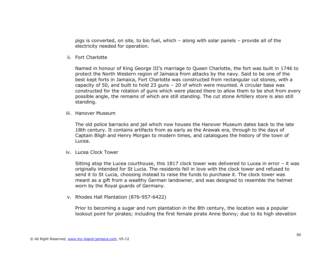pigs is converted, on site, to bio fuel, which – along with solar panels – provide all of the electricity needed for operation.

ii. Fort Charlotte

Named in honour of King George III's marriage to Queen Charlotte, the fort was built in 1746 to protect the North Western region of Jamaica from attacks by the navy. Said to be one of the best kept forts in Jamaica, Fort Charlotte was constructed from rectangular cut stones, with a capacity of 50, and built to hold 23 guns – 20 of which were mounted. A circular base was constructed for the rotation of guns which were placed there to allow them to be shot from every possible angle, the remains of which are still standing. The cut stone Artillery store is also still standing.

iii. Hanover Museum

The old police barracks and jail which now houses the Hanover Museum dates back to the late 18th century. It contains artifacts from as early as the Arawak era, through to the days of Captain Bligh and Henry Morgan to modern times, and catalogues the history of the town of Lucea.

iv. Lucea Clock Tower

Sitting atop the Lucea courthouse, this 1817 clock tower was delivered to Lucea in error – it was originally intended for St Lucia. The residents fell in love with the clock tower and refused to send it to St Lucia, choosing instead to raise the funds to purchase it. The clock tower was meant as a gift from a wealthy German landowner, and was designed to resemble the helmet worn by the Royal guards of Germany.

v. Rhodes Hall Plantation (876-957-6422)

Prior to becoming a sugar and rum plantation in the 8th century, the location was a popular lookout point for pirates; including the first female pirate Anne Bonny; due to its high elevation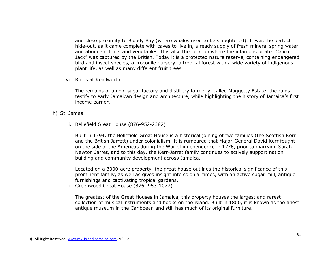and close proximity to Bloody Bay (where whales used to be slaughtered). It was the perfect hide-out, as it came complete with caves to live in, a ready supply of fresh mineral spring water and abundant fruits and vegetables. It is also the location where the infamous pirate "Calico Jack" was captured by the British. Today it is a protected nature reserve, containing endangered bird and insect species, a crocodile nursery, a tropical forest with a wide variety of indigenous plant life, as well as many different fruit trees.

vi. Ruins at Kenilworth

The remains of an old sugar factory and distillery formerly, called Maggotty Estate, the ruins testify to early Jamaican design and architecture, while highlighting the history of Jamaica's first income earner.

- h) St. James
	- i. Bellefield Great House (876-952-2382)

Built in 1794, the Bellefield Great House is a historical joining of two families (the Scottish Kerr and the British Jarrett) under colonialism. It is rumoured that Major-General David Kerr fought on the side of the Americas during the War of independence in 1776, prior to marrying Sarah Newton Jarret, and to this day, the Kerr-Jarret family continues to actively support nation building and community development across Jamaica.

Located on a 3000-acre property, the great house outlines the historical significance of this prominent family, as well as gives insight into colonial times, with an active sugar mill, antique furnishings and captivating tropical gardens.

ii. Greenwood Great House (876- 953-1077)

The greatest of the Great Houses in Jamaica, this property houses the largest and rarest collection of musical instruments and books on the island. Built in 1800, it is known as the finest antique museum in the Caribbean and still has much of its original furniture.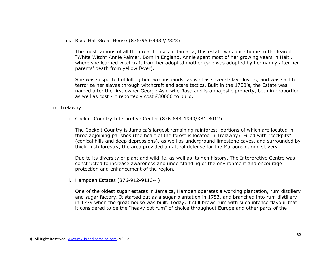iii. Rose Hall Great House (876-953-9982/2323)

The most famous of all the great houses in Jamaica, this estate was once home to the feared "White Witch" Annie Palmer. Born in England, Annie spent most of her growing years in Haiti, where she learned witchcraft from her adopted mother (she was adopted by her nanny after her parents' death from yellow fever).

She was suspected of killing her two husbands; as well as several slave lovers; and was said to terrorize her slaves through witchcraft and scare tactics. Built in the 1700's, the Estate was named after the first owner George Ash' wife Rosa and is a majestic property, both in proportion as well as cost - it reportedly cost £30000 to build.

- i) Trelawny
	- i. Cockpit Country Interpretive Center (876-844-1940/381-8012)

The Cockpit Country is Jamaica's largest remaining rainforest, portions of which are located in three adjoining parishes (the heart of the forest is located in Trelawny). Filled with "cockpits" (conical hills and deep depressions), as well as underground limestone caves, and surrounded by thick, lush forestry, the area provided a natural defense for the Maroons during slavery.

Due to its diversity of plant and wildlife, as well as its rich history, The Interpretive Centre was constructed to increase awareness and understanding of the environment and encourage protection and enhancement of the region.

ii. Hampden Estates (876-912-9113-4)

One of the oldest sugar estates in Jamaica, Hamden operates a working plantation, rum distillery and sugar factory. It started out as a sugar plantation in 1753, and branched into rum distillery in 1779 when the great house was built. Today, it still brews rum with such intense flavour that it considered to be the "heavy pot rum" of choice throughout Europe and other parts of the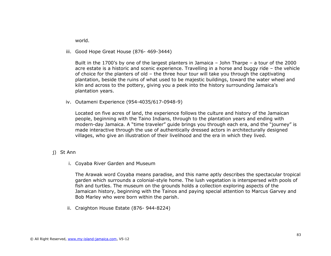world.

iii. Good Hope Great House (876- 469-3444)

Built in the 1700's by one of the largest planters in Jamaica – John Tharpe – a tour of the 2000 acre estate is a historic and scenic experience. Travelling in a horse and buggy ride – the vehicle of choice for the planters of old – the three hour tour will take you through the captivating plantation, beside the ruins of what used to be majestic buildings, toward the water wheel and kiln and across to the pottery, giving you a peek into the history surrounding Jamaica's plantation years.

iv. Outameni Experience (954-4035/617-0948-9)

Located on five acres of land, the experience follows the culture and history of the Jamaican people, beginning with the Taino Indians, through to the plantation years and ending with modern-day Jamaica. A "time traveler" guide brings you through each era, and the "journey" is made interactive through the use of authentically dressed actors in architecturally designed villages, who give an illustration of their livelihood and the era in which they lived.

- j) St Ann
	- i. Coyaba River Garden and Museum

The Arawak word Coyaba means paradise, and this name aptly describes the spectacular tropical garden which surrounds a colonial-style home. The lush vegetation is interspersed with pools of fish and turtles. The museum on the grounds holds a collection exploring aspects of the Jamaican history, beginning with the Tainos and paying special attention to Marcus Garvey and Bob Marley who were born within the parish.

ii. Craighton House Estate (876- 944-8224)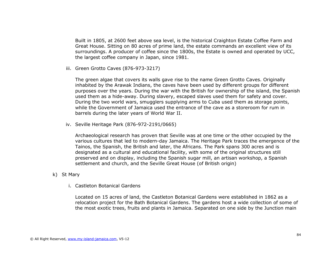Built in 1805, at 2600 feet above sea level, is the historical Craighton Estate Coffee Farm and Great House. Sitting on 80 acres of prime land, the estate commands an excellent view of its surroundings. A producer of coffee since the 1800s, the Estate is owned and operated by UCC, the largest coffee company in Japan, since 1981.

iii. Green Grotto Caves (876-973-3217)

The green algae that covers its walls gave rise to the name Green Grotto Caves. Originally inhabited by the Arawak Indians, the caves have been used by different groups for different purposes over the years. During the war with the British for ownership of the island, the Spanish used them as a hide-away. During slavery, escaped slaves used them for safety and cover. During the two world wars, smugglers supplying arms to Cuba used them as storage points, while the Government of Jamaica used the entrance of the cave as a storeroom for rum in barrels during the later years of World War II.

iv. Seville Heritage Park (876-972-2191/0665)

Archaeological research has proven that Seville was at one time or the other occupied by the various cultures that led to modern-day Jamaica. The Heritage Park traces the emergence of the Tainos, the Spanish, the British and later, the Africans. The Park spans 300 acres and is designated as a cultural and educational facility, with some of the original structures still preserved and on display, including the Spanish sugar mill, an artisan workshop, a Spanish settlement and church, and the Seville Great House (of British origin)

- k) St Mary
	- i. Castleton Botanical Gardens

Located on 15 acres of land, the Castleton Botanical Gardens were established in 1862 as a relocation project for the Bath Botanical Gardens. The gardens host a wide collection of some of the most exotic trees, fruits and plants in Jamaica. Separated on one side by the Junction main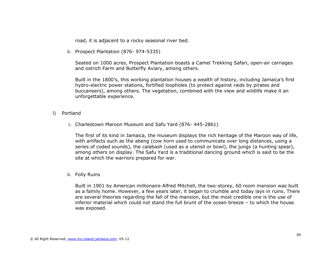road, it is adjacent to a rocky seasonal river bed.

ii. Prospect Plantation (876- 974-5335)

Seated on 1000 acres, Prospect Plantation boasts a Camel Trekking Safari, open-air carriages and ostrich Farm and Butterfly Aviary, among others.

Built in the 1800's, this working plantation houses a wealth of history, including Jamaica's first hydro-electric power stations, fortified loopholes (to protect against raids by pirates and buccaneers), among others. The vegetation, combined with the view and wildlife make it an unforgettable experience.

- l) Portland
	- i. Charlestown Maroon Museum and Safu Yard (876- 445-2861)

The first of its kind in Jamaica, the museum displays the rich heritage of the Maroon way of life, with artifacts such as the abeng (cow horn used to communicate over long distances, using a series of coded sounds), the calabash (used as a utensil or bowl), the jungs (a hunting spear), among others on display. The Safu Yard is a traditional dancing ground which is said to be the site at which the warriors prepared for war.

ii. Folly Ruins

Built in 1901 by American millionaire Alfred Mitchell, the two-storey, 60 room mansion was built as a family home. However, a few years later, it began to crumble and today lays in ruins. There are several theories regarding the fall of the mansion, but the most credible one is the use of inferior material which could not stand the full brunt of the ocean breeze – to which the house was exposed.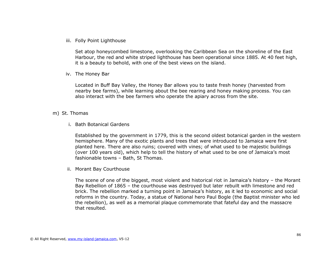iii. Folly Point Lighthouse

Set atop honeycombed limestone, overlooking the Caribbean Sea on the shoreline of the East Harbour, the red and white striped lighthouse has been operational since 1885. At 40 feet high, it is a beauty to behold, with one of the best views on the island.

iv. The Honey Bar

Located in Buff Bay Valley, the Honey Bar allows you to taste fresh honey (harvested from nearby bee farms), while learning about the bee rearing and honey making process. You can also interact with the bee farmers who operate the apiary across from the site.

#### m) St. Thomas

i. Bath Botanical Gardens

Established by the government in 1779, this is the second oldest botanical garden in the western hemisphere. Many of the exotic plants and trees that were introduced to Jamaica were first planted here. There are also ruins; covered with vines; of what used to be majestic buildings (over 100 years old), which help to tell the history of what used to be one of Jamaica's most fashionable towns – Bath, St Thomas.

ii. Morant Bay Courthouse

The scene of one of the biggest, most violent and historical riot in Jamaica's history – the Morant Bay Rebellion of 1865 – the courthouse was destroyed but later rebuilt with limestone and red brick. The rebellion marked a turning point in Jamaica's history, as it led to economic and social reforms in the country. Today, a statue of National hero Paul Bogle (the Baptist minister who led the rebellion), as well as a memorial plaque commemorate that fateful day and the massacre that resulted.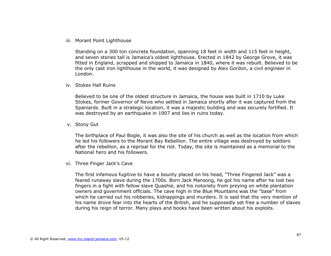#### iii. Morant Point Lighthouse

Standing on a 300 ton concrete foundation, spanning 18 feet in width and 115 feet in height, and seven stories tall is Jamaica's oldest lighthouse. Erected in 1842 by George Grove, it was fitted in England, scrapped and shipped to Jamaica in 1840, where it was rebuilt. Believed to be the only cast iron lighthouse in the world, it was designed by Alex Gordon, a civil engineer in London.

#### iv. Stokes Hall Ruins

Believed to be one of the oldest structure in Jamaica, the house was built in 1710 by Luke Stokes, former Governor of Nevis who settled in Jamaica shortly after it was captured from the Spaniards. Built in a strategic location, it was a majestic building and was securely fortified. It was destroyed by an earthquake in 1907 and lies in ruins today.

#### v. Stony Gut

The birthplace of Paul Bogle, it was also the site of his church as well as the location from which he led his followers to the Morant Bay Rebellion. The entire village was destroyed by soldiers after the rebellion, as a reprisal for the riot. Today, the site is maintained as a memorial to the National hero and his followers.

#### vi. Three Finger Jack's Cave

The first infamous fugitive to have a bounty placed on his head, "Three Fingered Jack" was a feared runaway slave during the 1700s. Born Jack Mansong, he got his name after he lost two fingers in a fight with fellow slave Quashie, and his notoriety from preying on white plantation owners and government officials. The cave high in the Blue Mountains was the "base" from which he carried out his robberies, kidnappings and murders. It is said that the very mention of his name drove fear into the hearts of the British, and he supposedly set free a number of slaves during his reign of terror. Many plays and books have been written about his exploits.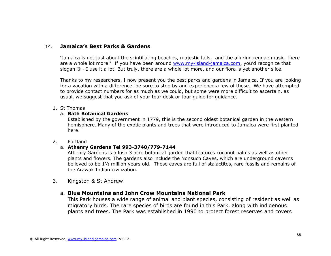# 14. **Jamaica's Best Parks & Gardens**

'Jamaica is not just about the scintillating beaches, majestic falls, and the alluring reggae music, there are a whole lot more!'. If you have been around [www.my-island-jamaica.com,](http://www.my-island-jamaica.com/) you'd recognize that slogan  $\mathcal{O}$  - I use it a lot. But truly, there are a whole lot more, and our flora is yet another slice.

Thanks to my researchers, I now present you the best parks and gardens in Jamaica. If you are looking for a vacation with a difference, be sure to stop by and experience a few of these. We have attempted to provide contact numbers for as much as we could, but some were more difficult to ascertain, as usual, we suggest that you ask of your tour desk or tour guide for guidance.

### 1. St Thomas

### a. **Bath Botanical Gardens**

Established by the government in 1779, this is the second oldest botanical garden in the western hemisphere. Many of the exotic plants and trees that were introduced to Jamaica were first planted here.

## 2. Portland

## a. **Athenry Gardens Tel 993-3740/779-7144**

Athenry Gardens is a lush 3 acre botanical garden that features coconut palms as well as other plants and flowers. The gardens also include the Nonsuch Caves, which are underground caverns believed to be 1½ million years old. These caves are full of stalactites, rare fossils and remains of the Arawak Indian civilization.

3. Kingston & St Andrew

# a. **Blue Mountains and John Crow Mountains National Park**

This Park houses a wide range of animal and plant species, consisting of resident as well as migratory birds. The rare species of birds are found in this Park, along with indigenous plants and trees. The Park was established in 1990 to protect forest reserves and covers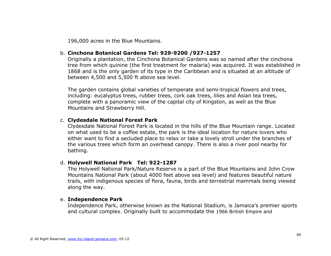196,000 acres in the Blue Mountains.

# b. **Cinchona Botanical Gardens Tel: 929-9200 /927-1257**

Originally a plantation, the Cinchona Botanical Gardens was so named after the cinchona tree from which quinine (the first treatment for malaria) was acquired. It was established in 1868 and is the only garden of its type in the Caribbean and is situated at an altitude of between 4,500 and 5,500 ft above sea level.

The garden contains global varieties of temperate and semi-tropical flowers and trees, including: eucalyptus trees, rubber trees, cork oak trees, lilies and Asian tea trees, complete with a panoramic view of the capital city of Kingston, as well as the Blue Mountains and Strawberry Hill.

# c. **Clydesdale National Forest Park**

Clydesdale National Forest Park is located in the hills of the Blue Mountain range. Located on what used to be a coffee estate, the park is the ideal location for nature lovers who either want to find a secluded place to relax or take a lovely stroll under the branches of the various trees which form an overhead canopy. There is also a river pool nearby for bathing.

## d. **Holywell National Park Tel: 922-1287**

The Holywell National Park/Nature Reserve is a part of the Blue Mountains and John Crow Mountains National Park (about 4000 feet above sea level) and features beautiful nature trails, with indigenous species of flora, fauna, birds and terrestrial mammals being viewed along the way.

### e. **Independence Park**

Independence Park, otherwise known as the National Stadium, is Jamaica's premier sports and cultural complex. Originally built to accommodate the [1966 British Empire and](http://en.wikipedia.org/wiki/1966_British_Empire_and_Commonwealth_Games)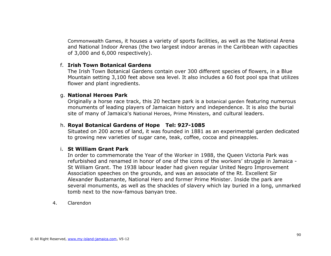Commonwealth Games, it houses a variety of sports facilities, as well as the National Arena and National Indoor Arenas (the two largest indoor arenas in the Caribbean with capacities of 3,000 and 6,000 respectively).

# f. **Irish Town Botanical Gardens**

The Irish Town Botanical Gardens contain over 300 different species of flowers, in a Blue Mountain setting 3,100 feet above sea level. It also includes a 60 foot pool spa that utilizes flower and plant ingredients.

# g. **National Heroes Park**

Originally a horse race track, this 20 hectare park is a [botanical garden](http://en.wikipedia.org/wiki/Botanical_garden) featuring numerous monuments of leading players of Jamaican history and independence. It is also the burial site of many of Jamaica's [National Heroes](http://en.wikipedia.org/wiki/Order_of_National_Hero), [Prime Ministers](http://en.wikipedia.org/wiki/Prime_Minister_of_Jamaica), and cultural leaders.

# h. **Royal Botanical Gardens of Hope Tel: 927-1085**

Situated on 200 acres of land, it was founded in 1881 as an experimental garden dedicated to growing new varieties of sugar cane, teak, coffee, cocoa and pineapples.

# i. **St William Grant Park**

In order to commemorate the Year of the Worker in 1988, the Queen Victoria Park was refurbished and renamed in honor of one of the icons of the workers' struggle in [Jamaica](http://jamaica-gleaner.com/gleaner/20090817/cleisure/cleisure3.html) - St William Grant. The 1938 labour leader had given regular United Negro Improvement Association speeches on the grounds, and was an associate of the Rt. Excellent Sir Alexander Bustamante, National Hero and former Prime Minister. Inside the park are several monuments, as well as the shackles of slavery which lay buried in a long, unmarked tomb next to the now-famous banyan tree.

4. Clarendon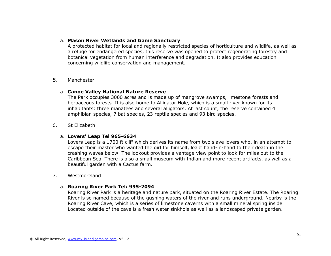### a. **Mason River Wetlands and Game Sanctuary**

A protected habitat for local and regionally restricted species of horticulture and wildlife, as well as a refuge for endangered species, this reserve was opened to protect regenerating forestry and botanical vegetation from human interference and degradation. It also provides education concerning wildlife conservation and management.

# 5. Manchester

### a. **Canoe Valley National Nature Reserve**

The Park occupies 3000 acres and is made up of mangrove swamps, limestone forests and herbaceous forests. It is also home to Alligator Hole, which is a small river known for its inhabitants: three manatees and several alligators. At last count, the reserve contained 4 amphibian species, 7 bat species, 23 reptile species and 93 bird species.

### 6. St Elizabeth

### a. **Lovers' Leap Tel 965-6634**

Lovers Leap is a 1700 ft cliff which derives its name from two slave lovers who, in an attempt to escape their master who wanted the girl for himself, leapt hand-in-hand to their death in the crashing waves below. The lookout provides a vantage view point to look for miles out to the Caribbean Sea. There is also a small museum with Indian and more recent artifacts, as well as a beautiful garden with a Cactus farm.

### 7. Westmoreland

## a. **Roaring River Park Tel: 995-2094**

Roaring River Park is a heritage and nature park, situated on the Roaring River Estate. The Roaring River is so named because of the gushing waters of the river and runs underground. Nearby is the Roaring River [Cave,](http://en.wikipedia.org/wiki/Cave) which is a series of [limestone](http://en.wikipedia.org/wiki/Limestone) caverns with a small mineral spring inside. Located outside of the cave is a fresh water sinkhole as well as a landscaped private garden.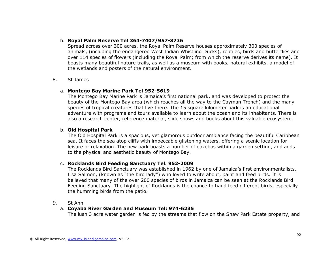## b. **Royal Palm Reserve Tel 364-7407/957-3736**

Spread across over 300 acres, the Royal Palm Reserve houses approximately 300 species of animals, (including the endangered West Indian Whistling Ducks), reptiles, birds and butterflies and over 114 species of flowers (including the Royal Palm; from which the reserve derives its name). It boasts many beautiful nature trails, as well as a museum with books, natural exhibits, a model of the wetlands and posters of the natural environment.

### 8. St James

### a. **Montego Bay Marine Park Tel 952-5619**

The Montego Bay Marine Park is Jamaica's first national park, and was developed to protect the beauty of the Montego Bay area (which reaches all the way to the Cayman Trench) and the many species of tropical creatures that live there. The 15 square kilometer park is an educational adventure with programs and tours available to learn about the ocean and its inhabitants. There is also a research center, reference material, slide shows and books about this valuable ecosystem.

### b. **Old Hospital Park**

The Old Hospital Park is a spacious, yet glamorous outdoor ambiance facing the beautiful Caribbean sea. It faces the sea atop cliffs with impeccable glistening waters, offering a scenic location for leisure or relaxation. The new park boasts a number of gazebos within a garden setting, and adds to the physical and aesthetic beauty of Montego Bay.

## c. **Rocklands Bird Feeding Sanctuary Tel. 952-2009**

The Rocklands Bird Sanctuary was established in 1962 by one of Jamaica's first environmentalists, Lisa Salmon, (known as "the bird lady") who loved to write about, paint and feed birds. It is believed that many of the over 200 species of birds in Jamaica can be seen at the Rocklands Bird Feeding Sanctuary. The highlight of Rocklands is the chance to hand feed different birds, especially the humming birds from the patio.

## 9. St Ann

## a. **Coyaba River Garden and Museum Tel: 974-6235**

The lush 3 acre water garden is fed by the streams that flow on the Shaw Park Estate property, and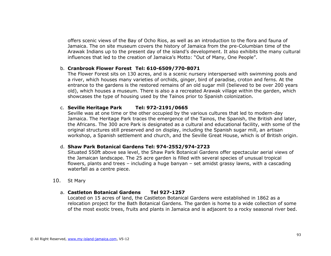offers scenic views of the Bay of Ocho Rios, as well as an introduction to the flora and fauna of Jamaica. The on site museum covers the history of Jamaica from the pre-Columbian time of the Arawak Indians up to the present day of the island's development. It also exhibits the many cultural influences that led to the creation of Jamaica's Motto: "Out of Many, One People".

### b. **Cranbrook Flower Forest Tel: 610-6509/770-8071**

The Flower Forest sits on 130 acres, and is a scenic nursery interspersed with swimming pools and a river, which houses many varieties of orchids, ginger, bird of paradise, croton and ferns. At the entrance to the gardens is the restored remains of an old sugar mill (believed to be over 200 years old), which houses a museum. There is also a a recreated Arawak village within the garden, which showcases the type of housing used by the Tainos prior to Spanish colonization.

### c. **Seville Heritage Park Tel: 972-2191/0665**

Seville was at one time or the other occupied by the various cultures that led to modern-day Jamaica. The Heritage Park traces the emergence of the Tainos, the Spanish, the British and later, the Africans. The 300 acre Park is designated as a cultural and educational facility, with some of the original structures still preserved and on display, including the Spanish sugar mill, an artisan workshop, a Spanish settlement and church, and the Seville Great House, which is of British origin.

### d. **Shaw Park Botanical Gardens Tel: 974-2552/974-2723**

Situated 550ft above sea level, the Shaw Park Botanical Gardens offer spectacular aerial views of the Jamaican landscape. The 25 acre garden is filled with several species of unusual tropical flowers, plants and trees – including a huge banyan – set amidst grassy lawns, with a cascading waterfall as a centre piece.

## 10. St Mary

## a. **Castleton Botanical Gardens Tel 927-1257**

Located on 15 acres of land, the Castleton Botanical Gardens were established in 1862 as a relocation project for the Bath Botanical Gardens. The garden is home to a wide collection of some of the most exotic trees, fruits and plants in Jamaica and is adjacent to a rocky seasonal river bed.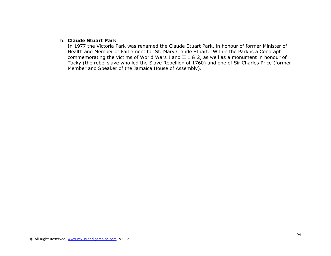### b. **Claude Stuart Park**

In 1977 the Victoria Park was renamed the Claude Stuart Park, in honour of former Minister of Health and Member of Parliament for St. Mary Claude Stuart. Within the Park is a Cenotaph commemorating the victims of World Wars I and II 1 & 2, as well as a monument in honour of Tacky (the rebel slave who led the Slave Rebellion of 1760) and one of Sir Charles Price (former Member and Speaker of the Jamaica House of Assembly).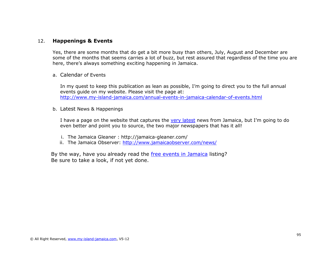# 12. **Happenings & Events**

Yes, there are some months that do get a bit more busy than others, July, August and December are some of the months that seems carries a lot of buzz, but rest assured that regardless of the time you are here, there's always something exciting happening in Jamaica.

a. Calendar of Events

In my quest to keep this publication as lean as possible, I'm going to direct you to the full annual events guide on my website. Please visit the page at: <http://www.my-island-jamaica.com/annual-events-in-jamaica-calendar-of-events.html>

b. Latest News & Happenings

I have a page on the website that captures the [very latest](http://www.my-island-jamaica.com/current_events_in_jamaica.html#News) news from Jamaica, but I'm going to do even better and point you to source, the two major newspapers that has it all!

- i. The Jamaica Gleaner : http://jamaica-gleaner.com/
- ii. The Jamaica Observer:<http://www.jamaicaobserver.com/news/>

By the way, have you already read the [free events in Jamaica](#page-34-0) listing? Be sure to take a look, if not yet done.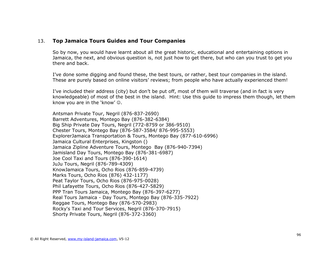# 13. **Top Jamaica Tours Guides and Tour Companies**

So by now, you would have learnt about all the great historic, educational and entertaining options in Jamaica, the next, and obvious question is, not just how to get there, but who can you trust to get you there and back.

I've done some digging and found these, the best tours, or rather, best tour companies in the island. These are purely based on online visitors' reviews; from people who have actually experienced them!

I've included their address (city) but don't be put off, most of them will traverse (and in fact is very knowledgeable) of most of the best in the island. Hint: Use this guide to impress them though, let them know you are in the 'know'  $\odot$ .

Antsman Private Tour, Negril (876-837-2690) Barrett Adventures, Montego Bay (876-382-6384) Big Ship Private Day Tours, Negril (772-8759 or 386-9510) Chester Tours, Montego Bay (876-587-3584/ 876-995-5553) ExplorerJamaica Transportation & Tours, Montego Bay (877-610-6996) Jamaica Cultural Enterprises, Kingston () Jamaica Zipline Adventure Tours, Montego Bay (876-940-7394) Jamisland Day Tours, Montego Bay (876-381-6987) Joe Cool Taxi and Tours (876-390-1614) JuJu Tours, Negril (876-789-4309) KnowJamaica Tours, Ocho Rios (876-859-4739) Marks Tours, Ocho Rios (876) 432-1177) Peat Taylor Tours, Ocho Rios (876-975-0028) Phil Lafayette Tours, Ocho Rios (876-427-5829) PPP Tran Tours Jamaica, Montego Bay (876-397-6277) Real Tours Jamaica - Day Tours, Montego Bay (876-335-7922) Reggae Tours, Montego Bay (876-570-2983) Rocky's Taxi and Tour Services, Negril (876-370-7915) Shorty Private Tours, Negril (876-372-3360)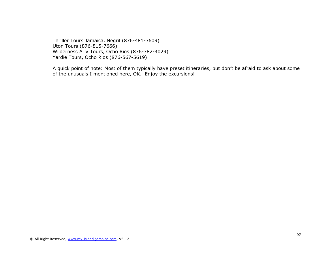Thriller Tours Jamaica, Negril (876-481-3609) Uton Tours (876-815-7666) Wilderness ATV Tours, Ocho Rios (876-382-4029) Yardie Tours, Ocho Rios (876-567-5619)

A quick point of note: Most of them typically have preset itineraries, but don't be afraid to ask about some of the unusuals I mentioned here, OK. Enjoy the excursions!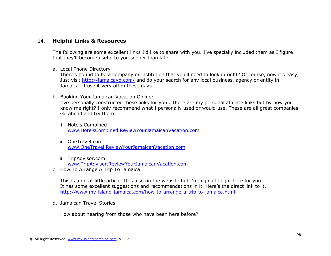# 14. **Helpful Links & Resources**

The following are some excellent links I'd like to share with you. I've specially included them as I figure that they'll become useful to you sooner than later.

#### a. Local Phone Directory

There's bound to be a company or institution that you'll need to lookup right? Of course, now it's easy, Just visit<http://jamaicayp.com/> and do your search for any local business, agency or entity in Jamaica. I use it very often these days.

b. Booking Your Jamaican Vacation Online:

I've personally constructed these links for you . There are my personal affiliate links but by now you know me right? I only recommend what I personally used or would use. These are all great companies. Go ahead and try them.

- i. Hotels Combined [www.HotelsCombined.ReviewYourJamaicanVacation.com](http://www.hotelscombined.reviewyourjamaicanvacation.com/)
- ii. OneTravel.com [www.OneTravel.ReviewYourJamaicanVacation.com](http://www.onetravel.reviewyourjamaicanvacation.com/)
- iii. TripAdvisor.com [www.TripAdvisor.ReviewYourJamaicanVacation.com](http://www.tripadvisor.reviewyourjamaicanvacation.com/)
- c. How To Arrange A Trip To Jamaica

This is a great little article. It is also on the website but I'm highlighting it here for you. It has some excellent suggestions and recommendations in it. Here's the direct link to it. <http://www.my-island-jamaica.com/how-to-arrange-a-trip-to-jamaica.html>

d. Jamaican Travel Stories

How about hearing from those who have been here before?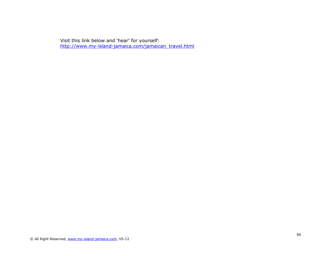Visit this link below and 'hear' for yourself: [http://www.my-island-jamaica.com/jamaican\\_travel.html](http://www.my-island-jamaica.com/jamaican_travel.html)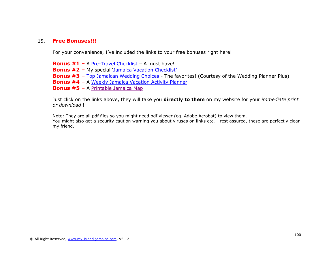# 15. **Free Bonuses!!!**

For your convenience, I've included the links to your free bonuses right here!

**Bonus #1 –** A [Pre-Travel Checklist](http://www.my-island-jamaica.com/support-files/book_Pre_travel_checklist.pdf) – A must have! **Bonus #2 –** My special 'Jamaica [Vacation Checklist](http://www.my-island-jamaica.com/support-files/book_jamaican_vacation_checklist.pdf)' **Bonus #3 –** Top Jamaican [Wedding Choices](http://www.my-island-jamaica.com/support-files/book_TOP_JAMAICAN_WEDDING_CHOICES_The_Favourites.pdf) - The favorites! (Courtesy of the Wedding Planner Plus) **Bonus #4 –** A [Weekly Jamaica Vacation Activity Planner](http://www.my-island-jamaica.com/support-files/book_weekly_vacation_activity_planner.pdf) **Bonus #5 –** A [Printable Jamaica Map](http://www.my-island-jamaica.com/support-files/printable-jamaica-map.pdf)

Just click on the links above, they will take you **directly to them** on my website for your *immediate print or download* !

Note: They are all pdf files so you might need pdf viewer (eg. Adobe Acrobat) to view them.

You might also get a security caution warning you about viruses on links etc. - rest assured, these are perfectly clean my friend.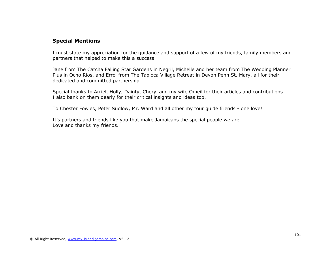# **Special Mentions**

I must state my appreciation for the guidance and support of a few of my friends, family members and partners that helped to make this a success.

Jane from The Catcha Falling Star Gardens in Negril, Michelle and her team from The Wedding Planner Plus in Ocho Rios, and Errol from The Tapioca Village Retreat in Devon Penn St. Mary, all for their dedicated and committed partnership.

Special thanks to Arriel, Holly, Dainty, Cheryl and my wife Omeil for their articles and contributions. I also bank on them dearly for their critical insights and ideas too.

To Chester Fowles, Peter Sudlow, Mr. Ward and all other my tour guide friends - one love!

It's partners and friends like you that make Jamaicans the special people we are. Love and thanks my friends.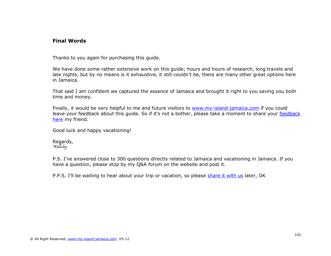# **Final Words**

Thanks to you again for purchasing this guide.

We have done some rather extensive work on this guide; hours and hours of research, long travels and late nights, but by no means is it exhaustive, it still couldn't be, there are many other great options here in Jamaica.

That said I am confident we captured the essence of Jamaica and brought it right to you saving you both time and money.

Finally, it would be very helpful to me and future visitors to [www.my-island-jamaica.com](http://www.my-island-jamaica.com/) if you could leave your [feedback](http://www.my-island-jamaica.com/jamaica-insider-guide-reviews.html) about this quide. So if it's not a bother, please take a moment to share your feedback [here](http://www.my-island-jamaica.com/jamaica-insider-guide-reviews.html) my friend.

Good luck and happy vacationing!

Regards, Wellesley

P.S. I've answered close to 300 questions directly related to Jamaica and vacationing in Jamaica. If you have a question, please stop by my Q&A forum on the website and post it.

P.P.S. I'll be waiting to hear about your trip or vacation, so please [share it with us](http://www.my-island-jamaica.com/jamaican_travel.html#INV) later, OK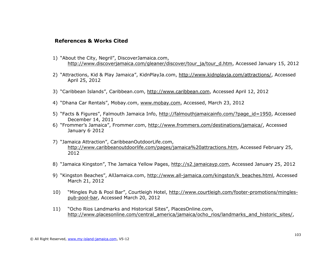# **References & Works Cited**

- 1) "About the City, Negril", DiscoverJamaica.com, [http://www.discoverjamaica.com/gleaner/discover/tour\\_ja/tour\\_d.htm,](http://www.discoverjamaica.com/gleaner/discover/tour_ja/tour_d.htm) Accessed January 15, 2012
- 2) "Attractions, Kid & Play Jamaica", KidnPlayJa.com, [http://www.kidnplayja.com/attractions/,](http://www.kidnplayja.com/attractions/) Accessed April 25, 2012
- 3) "Caribbean Islands", Caribbean.com, [http://www.caribbean.com,](http://www.caribbean.com/) Accessed April 12, 2012
- 4) "Dhana Car Rentals", Mobay.com, [www.mobay.com,](http://www.mobay.com/) Accessed, March 23, 2012
- 5) "Facts & Figures", Falmouth Jamaica Info, [http://falmouthjamaicainfo.com/?page\\_id=1950,](http://falmouthjamaicainfo.com/?page_id=1950) Accessed December 14, 2011
- 6) "Frommer's Jamaica", Frommer.com, [http://www.frommers.com/destinations/jamaica/,](http://www.frommers.com/destinations/jamaica/) Accessed January 6<sup>'</sup> 2012
- 7) "Jamaica Attraction", CaribbeanOutdoorLife.com, [http://www.caribbeanoutdoorlife.com/pages/jamaica%20attractions.htm,](http://www.caribbeanoutdoorlife.com/pages/jamaica%20attractions.htm) Accessed February 25, 2012
- 8) "Jamaica Kingston", The Jamaica Yellow Pages, [http://s2.jamaicayp.com,](http://s2.jamaicayp.com/) Accessed January 25, 2012
- 9) "Kingston Beaches", AllJamaica.com, [http://www.all-jamaica.com/kingston/k\\_beaches.html,](http://www.all-jamaica.com/kingston/k_beaches.html) Accessed March 21, 2012
- 10) "Mingles Pub & Pool Bar", Courtleigh Hotel, [http://www.courtleigh.com/footer-promotions/mingles](http://www.courtleigh.com/footer-promotions/mingles-pub-pool-bar)[pub-pool-bar,](http://www.courtleigh.com/footer-promotions/mingles-pub-pool-bar) Accessed March 20, 2012
- 11) "Ocho Rios Landmarks and Historical Sites", PlacesOnline.com, [http://www.placesonline.com/central\\_america/jamaica/ocho\\_rios/landmarks\\_and\\_historic\\_sites/,](http://www.placesonline.com/central_america/jamaica/ocho_rios/landmarks_and_historic_sites/)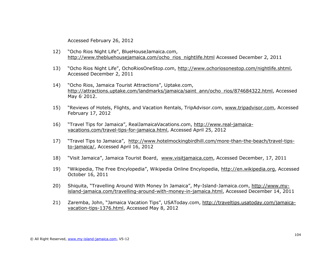Accessed February 26, 2012

- 12) "Ocho Rios Night Life", BlueHouseJamaica.com, [http://www.thebluehousejamaica.com/ocho\\_rios\\_nightlife.html](http://www.thebluehousejamaica.com/ocho_rios_nightlife.html) Accessed December 2, 2011
- 13) "Ocho Rios Night Life", OchoRiosOneStop.com, [http://www.ochoriosonestop.com/nightlife.shtml,](http://www.ochoriosonestop.com/nightlife.shtml) Accessed December 2, 2011
- 14) "Ocho Rios, Jamaica Tourist Attractions", Uptake.com, [http://attractions.uptake.com/landmarks/jamaica/saint\\_ann/ocho\\_rios/874684322.html,](http://attractions.uptake.com/landmarks/jamaica/saint_ann/ocho_rios/874684322.html) Accessed May 6' 2012.
- 15) "Reviews of Hotels, Flights, and Vacation Rentals, TripAdvisor.com, [www.tripadvisor.com,](http://www.tripadvisor.com/) Accessed February 17, 2012
- 16) "Travel Tips for Jamaica", RealJamaicaVacations.com, [http://www.real-jamaica](http://www.real-jamaica-vacations.com/travel-tips-for-jamaica.html)[vacations.com/travel-tips-for-jamaica.html,](http://www.real-jamaica-vacations.com/travel-tips-for-jamaica.html) Accessed April 25, 2012
- 17) "Travel Tips to Jamaica", [http://www.hotelmockingbirdhill.com/more-than-the-beach/travel-tips](http://www.hotelmockingbirdhill.com/more-than-the-beach/travel-tips-to-jamaica/)[to-jamaica/,](http://www.hotelmockingbirdhill.com/more-than-the-beach/travel-tips-to-jamaica/) Accessed April 16, 2012
- 18) "Visit Jamaica", Jamaica Tourist Board, [www.visitjamaica.com,](http://www.visitjamaica.com/) Accessed December, 17, 2011
- 19) "Wikipedia, The Free Encylopedia", Wikipedia Online Encylopedia, [http://en.wikipedia.org,](http://en.wikipedia.org/) Accessed October 16, 2011
- 20) Shiquita, "Travelling Around With Money In Jamaica", My-Island-Jamaica.com, [http://www.my](http://www.my-island-jamaica.com/travelling-around-with-money-in-jamaica.html)[island-jamaica.com/travelling-around-with-money-in-jamaica.html,](http://www.my-island-jamaica.com/travelling-around-with-money-in-jamaica.html) Accessed December 14, 2011
- 21) Zaremba, John, "Jamaica Vacation Tips", USAToday.com, [http://traveltips.usatoday.com/jamaica](http://traveltips.usatoday.com/jamaica-vacation-tips-1376.html)[vacation-tips-1376.html,](http://traveltips.usatoday.com/jamaica-vacation-tips-1376.html) Accessed May 8, 2012